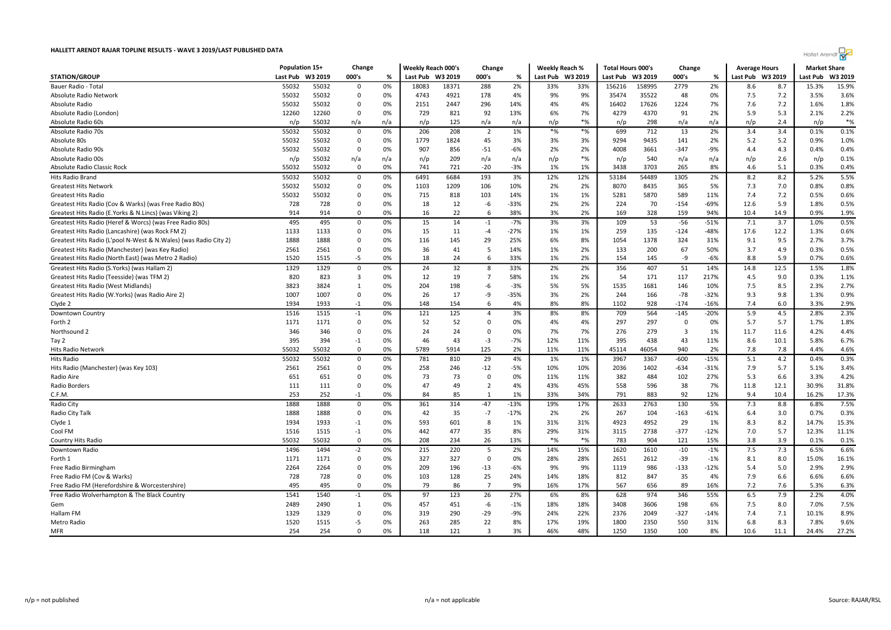| <b>Hallet Arendt</b> |
|----------------------|
|----------------------|

|                                                                  | Population 15+ |         | Change       |     | Weekly Reach 000's |         | Change         |        | <b>Weekly Reach %</b> |                  | <b>Total Hours 000's</b> |        | Change                  |        | <b>Average Hours</b> |      | <b>Market Share</b> |         |
|------------------------------------------------------------------|----------------|---------|--------------|-----|--------------------|---------|----------------|--------|-----------------------|------------------|--------------------------|--------|-------------------------|--------|----------------------|------|---------------------|---------|
| <b>STATION/GROUP</b>                                             | Last Pub       | W3 2019 | 000's        | %   | Last Pub           | W3 2019 | 000's          | %      |                       | Last Pub W3 2019 | Last Pub W3 2019         |        | 000's                   | %      | Last Pub W3 2019     |      | Last Pub            | W3 2019 |
| Bauer Radio - Tota                                               | 55032          | 55032   | 0            | 0%  | 18083              | 18371   | 288            | 2%     | 33%                   | 33%              | 156216                   | 158995 | 2779                    | 2%     | 8.6                  | 8.7  | 15.3%               | 15.9%   |
| Absolute Radio Network                                           | 55032          | 55032   | 0            | 0%  | 4743               | 4921    | 178            | 4%     | 9%                    | 9%               | 35474                    | 35522  | 48                      | 0%     | 7.5                  | 7.2  | 3.5%                | 3.6%    |
| Absolute Radio                                                   | 55032          | 55032   | $\Omega$     | 0%  | 2151               | 2447    | 296            | 14%    | 4%                    | 4%               | 16402                    | 17626  | 1224                    | 7%     | 7.6                  | 7.2  | 1.6%                | 1.8%    |
| Absolute Radio (London)                                          | 12260          | 12260   | $\mathbf 0$  | 0%  | 729                | 821     | 92             | 13%    | 6%                    | 7%               | 4279                     | 4370   | 91                      | 2%     | 5.9                  | 5.3  | 2.1%                | 2.2%    |
| Absolute Radio 60s                                               | n/p            | 55032   | n/a          | n/a | n/p                | 125     | n/a            | n/a    | n/p                   | $*$ %            | n/p                      | 298    | n/a                     | n/a    | n/p                  | 2.4  | n/p                 | $*%$    |
| Absolute Radio 70s                                               | 55032          | 55032   | $\mathbf 0$  | 0%  | 206                | 208     | $\overline{2}$ | 1%     | $*$ %                 | $*$ %            | 699                      | 712    | 13                      | 2%     | 3.4                  | 3.4  | 0.1%                | 0.1%    |
| Absolute 80s                                                     | 55032          | 55032   | $\Omega$     | 0%  | 1779               | 1824    | 45             | 3%     | 3%                    | 3%               | 9294                     | 9435   | 141                     | 2%     | 5.2                  | 5.2  | 0.9%                | 1.0%    |
| Absolute Radio 90s                                               | 55032          | 55032   | $\Omega$     | 0%  | 907                | 856     | $-51$          | $-6%$  | 2%                    | 2%               | 4008                     | 3661   | $-347$                  | $-9%$  | 4.4                  | 4.3  | 0.4%                | 0.4%    |
| Absolute Radio 00s                                               | n/p            | 55032   | n/a          | n/a | n/p                | 209     | n/a            | n/a    | n/p                   | $*$ %            | n/p                      | 540    | n/a                     | n/a    | n/p                  | 2.6  | n/p                 | 0.1%    |
| Absolute Radio Classic Rock                                      | 55032          | 55032   | $\mathbf 0$  | 0%  | 741                | 721     | $-20$          | $-3%$  | 1%                    | 1%               | 3438                     | 3703   | 265                     | 8%     | 4.6                  | 5.1  | 0.3%                | 0.4%    |
| Hits Radio Brand                                                 | 55032          | 55032   | 0            | 0%  | 6491               | 6684    | 193            | 3%     | 12%                   | 12%              | 53184                    | 54489  | 1305                    | 2%     | 8.2                  | 8.2  | 5.2%                | 5.5%    |
| <b>Greatest Hits Network</b>                                     | 55032          | 55032   | $\Omega$     | 0%  | 1103               | 1209    | 106            | 10%    | 2%                    | 2%               | 8070                     | 8435   | 365                     | 5%     | 7.3                  | 7.0  | 0.8%                | 0.8%    |
| <b>Greatest Hits Radio</b>                                       | 55032          | 55032   | $\mathbf 0$  | 0%  | 715                | 818     | 103            | 14%    | 1%                    | 1%               | 5281                     | 5870   | 589                     | 11%    | 7.4                  | 7.2  | 0.5%                | 0.6%    |
| Greatest Hits Radio (Cov & Warks) (was Free Radio 80s)           | 728            | 728     | 0            | 0%  | 18                 | 12      | -6             | $-33%$ | 2%                    | 2%               | 224                      | 70     | $-154$                  | -69%   | 12.6                 | 5.9  | 1.8%                | 0.5%    |
| Greatest Hits Radio (E.Yorks & N.Lincs) (was Viking 2)           | 914            | 914     | $\Omega$     | 0%  | 16                 | 22      | 6              | 38%    | 3%                    | 2%               | 169                      | 328    | 159                     | 94%    | 10.4                 | 14.9 | 0.9%                | 1.9%    |
| Greatest Hits Radio (Heref & Worcs) (was Free Radio 80s)         | 495            | 495     | 0            | 0%  | 15                 | 14      | $-1$           | $-7%$  | 3%                    | 3%               | 109                      | 53     | $-56$                   | -51%   | 7.1                  | 3.7  | 1.0%                | 0.5%    |
| Greatest Hits Radio (Lancashire) (was Rock FM 2)                 | 1133           | 1133    | $\Omega$     | 0%  | 15                 | 11      | $-4$           | $-27%$ | 1%                    | 1%               | 259                      | 135    | $-124$                  | $-48%$ | 17.6                 | 12.2 | 1.3%                | 0.6%    |
| Greatest Hits Radio (L'pool N-West & N.Wales) (was Radio City 2) | 1888           | 1888    | 0            | 0%  | 116                | 145     | 29             | 25%    | 6%                    | 8%               | 1054                     | 1378   | 324                     | 31%    | 9.1                  | 9.5  | 2.7%                | 3.7%    |
| Greatest Hits Radio (Manchester) (was Key Radio)                 | 2561           | 2561    | 0            | 0%  | 36                 | 41      | 5              | 14%    | 1%                    | 2%               | 133                      | 200    | 67                      | 50%    | 3.7                  | 4.9  | 0.3%                | 0.5%    |
| Greatest Hits Radio (North East) (was Metro 2 Radio)             | 1520           | 1515    | -5           | 0%  | 18                 | 24      | 6              | 33%    | 1%                    | 2%               | 154                      | 145    | -9                      | $-6%$  | 8.8                  | 5.9  | 0.7%                | 0.6%    |
| Greatest Hits Radio (S.Yorks) (was Hallam 2)                     | 1329           | 1329    | $\mathbf 0$  | 0%  | 24                 | 32      | 8              | 33%    | 2%                    | 2%               | 356                      | 407    | 51                      | 14%    | 14.8                 | 12.5 | 1.5%                | 1.8%    |
| Greatest Hits Radio (Teesside) (was TFM 2)                       | 820            | 823     | 3            | 0%  | 12                 | 19      | $\overline{7}$ | 58%    | 1%                    | 2%               | 54                       | 171    | 117                     | 217%   | 4.5                  | 9.0  | 0.3%                | 1.1%    |
| Greatest Hits Radio (West Midlands)                              | 3823           | 3824    | 1            | 0%  | 204                | 198     | -6             | $-3%$  | 5%                    | 5%               | 1535                     | 1681   | 146                     | 10%    | 7.5                  | 8.5  | 2.3%                | 2.7%    |
| Greatest Hits Radio (W.Yorks) (was Radio Aire 2)                 | 1007           | 1007    | 0            | 0%  | 26                 | 17      | -9             | $-35%$ | 3%                    | 2%               | 244                      | 166    | $-78$                   | $-32%$ | 9.3                  | 9.8  | 1.3%                | 0.9%    |
| Clyde 2                                                          | 1934           | 1933    | $-1$         | 0%  | 148                | 154     | 6              | 4%     | 8%                    | 8%               | 1102                     | 928    | $-174$                  | $-16%$ | 7.4                  | 6.0  | 3.3%                | 2.9%    |
| Downtown Country                                                 | 1516           | 1515    | $-1$         | 0%  | 121                | 125     | $\overline{4}$ | 3%     | 8%                    | 8%               | 709                      | 564    | $-145$                  | $-20%$ | 5.9                  | 4.5  | 2.8%                | 2.3%    |
| Forth 2                                                          | 1171           | 1171    | $\mathbf 0$  | 0%  | 52                 | 52      | $\mathbf 0$    | 0%     | 4%                    | 4%               | 297                      | 297    | $\mathbf 0$             | 0%     | 5.7                  | 5.7  | 1.7%                | 1.8%    |
| Northsound 2                                                     | 346            | 346     | 0            | 0%  | 24                 | 24      | 0              | 0%     | 7%                    | 7%               | 276                      | 279    | $\overline{\mathbf{3}}$ | 1%     | 11.7                 | 11.6 | 4.2%                | 4.4%    |
| Tay 2                                                            | 395            | 394     | $-1$         | 0%  | 46                 | 43      | $-3$           | $-7%$  | 12%                   | 11%              | 395                      | 438    | 43                      | 11%    | 8.6                  | 10.1 | 5.8%                | 6.7%    |
| <b>Hits Radio Network</b>                                        | 55032          | 55032   | $\Omega$     | 0%  | 5789               | 5914    | 125            | 2%     | 11%                   | 11%              | 45114                    | 46054  | 940                     | 2%     | 7.8                  | 7.8  | 4.4%                | 4.6%    |
| <b>Hits Radio</b>                                                | 55032          | 55032   | $\Omega$     | 0%  | 781                | 810     | 29             | 4%     | 1%                    | 1%               | 3967                     | 3367   | $-600$                  | $-15%$ | 5.1                  | 4.2  | 0.4%                | 0.3%    |
| Hits Radio (Manchester) (was Key 103)                            | 2561           | 2561    | $\mathbf 0$  | 0%  | 258                | 246     | $-12$          | $-5%$  | 10%                   | 10%              | 2036                     | 1402   | $-634$                  | $-31%$ | 7.9                  | 5.7  | 5.1%                | 3.4%    |
| Radio Aire                                                       | 651            | 651     | 0            | 0%  | 73                 | 73      | 0              | 0%     | 11%                   | 11%              | 382                      | 484    | 102                     | 27%    | 5.3                  | 6.6  | 3.3%                | 4.2%    |
| Radio Borders                                                    | 111            | 111     | $\mathbf 0$  | 0%  | 47                 | 49      | $\overline{2}$ | 4%     | 43%                   | 45%              | 558                      | 596    | 38                      | 7%     | 11.8                 | 12.1 | 30.9%               | 31.8%   |
| C.F.M.                                                           | 253            | 252     | $-1$         | 0%  | 84                 | 85      | $\mathbf{1}$   | 1%     | 33%                   | 34%              | 791                      | 883    | 92                      | 12%    | 9.4                  | 10.4 | 16.2%               | 17.3%   |
| Radio City                                                       | 1888           | 1888    | $\mathbf 0$  | 0%  | 361                | 314     | $-47$          | $-13%$ | 19%                   | 17%              | 2633                     | 2763   | 130                     | 5%     | 7.3                  | 8.8  | 6.8%                | 7.5%    |
| Radio City Talk                                                  | 1888           | 1888    | 0            | 0%  | 42                 | 35      | $-7$           | $-17%$ | 2%                    | 2%               | 267                      | 104    | $-163$                  | -61%   | 6.4                  | 3.0  | 0.7%                | 0.3%    |
| Clyde 1                                                          | 1934           | 1933    | $-1$         | 0%  | 593                | 601     | 8              | 1%     | 31%                   | 31%              | 4923                     | 4952   | 29                      | 1%     | 8.3                  | 8.2  | 14.7%               | 15.3%   |
| Cool FM                                                          | 1516           | 1515    | $-1$         | 0%  | 442                | 477     | 35             | 8%     | 29%                   | 31%              | 3115                     | 2738   | $-377$                  | $-12%$ | 7.0                  | 5.7  | 12.3%               | 11.1%   |
| Country Hits Radio                                               | 55032          | 55032   | 0            | 0%  | 208                | 234     | 26             | 13%    | $*$ %                 | $*$ %            | 783                      | 904    | 121                     | 15%    | 3.8                  | 3.9  | 0.1%                | 0.1%    |
| Downtown Radio                                                   | 1496           | 1494    | $-2$         | 0%  | 215                | 220     | 5              | 2%     | 14%                   | 15%              | 1620                     | 1610   | $-10$                   | $-1%$  | 7.5                  | 7.3  | 6.5%                | 6.6%    |
| Forth 1                                                          | 1171           | 1171    | $\Omega$     | 0%  | 327                | 327     | $\Omega$       | 0%     | 28%                   | 28%              | 2651                     | 2612   | $-39$                   | $-1%$  | 8.1                  | 8.0  | 15.0%               | 16.1%   |
| Free Radio Birmingham                                            | 2264           | 2264    | $\mathbf 0$  | 0%  | 209                | 196     | $-13$          | $-6%$  | 9%                    | 9%               | 1119                     | 986    | $-133$                  | $-12%$ | 5.4                  | 5.0  | 2.9%                | 2.9%    |
| Free Radio FM (Cov & Warks)                                      | 728            | 728     | $\mathbf 0$  | 0%  | 103                | 128     | 25             | 24%    | 14%                   | 18%              | 812                      | 847    | 35                      | 4%     | 7.9                  | 6.6  | 6.6%                | 6.6%    |
| Free Radio FM (Herefordshire & Worcestershire)                   | 495            | 495     | 0            | 0%  | 79                 | 86      | $\overline{7}$ | 9%     | 16%                   | 17%              | 567                      | 656    | 89                      | 16%    | 7.2                  | 7.6  | 5.3%                | 6.3%    |
| Free Radio Wolverhampton & The Black Country                     | 1541           | 1540    | $-1$         | 0%  | 97                 | 123     | 26             | 27%    | 6%                    | 8%               | 628                      | 974    | 346                     | 55%    | 6.5                  | 7.9  | 2.2%                | 4.0%    |
| Gem                                                              | 2489           | 2490    | $\mathbf{1}$ | 0%  | 457                | 451     | -6             | $-1%$  | 18%                   | 18%              | 3408                     | 3606   | 198                     | 6%     | 7.5                  | 8.0  | 7.0%                | 7.5%    |
| Hallam FM                                                        | 1329           | 1329    | $\mathbf 0$  | 0%  | 319                | 290     | $-29$          | $-9%$  | 24%                   | 22%              | 2376                     | 2049   | $-327$                  | $-14%$ | 7.4                  | 7.1  | 10.1%               | 8.9%    |
| Metro Radio                                                      | 1520           | 1515    | -5           | 0%  | 263                | 285     | 22             | 8%     | 17%                   | 19%              | 1800                     | 2350   | 550                     | 31%    | 6.8                  | 8.3  | 7.8%                | 9.6%    |
| MFR                                                              | 254            | 254     | $\Omega$     | 0%  | 118                | 121     | 3              | 3%     | 46%                   | 48%              | 1250                     | 1350   | 100                     | 8%     | 10.6                 | 11.1 | 24.4%               | 27.2%   |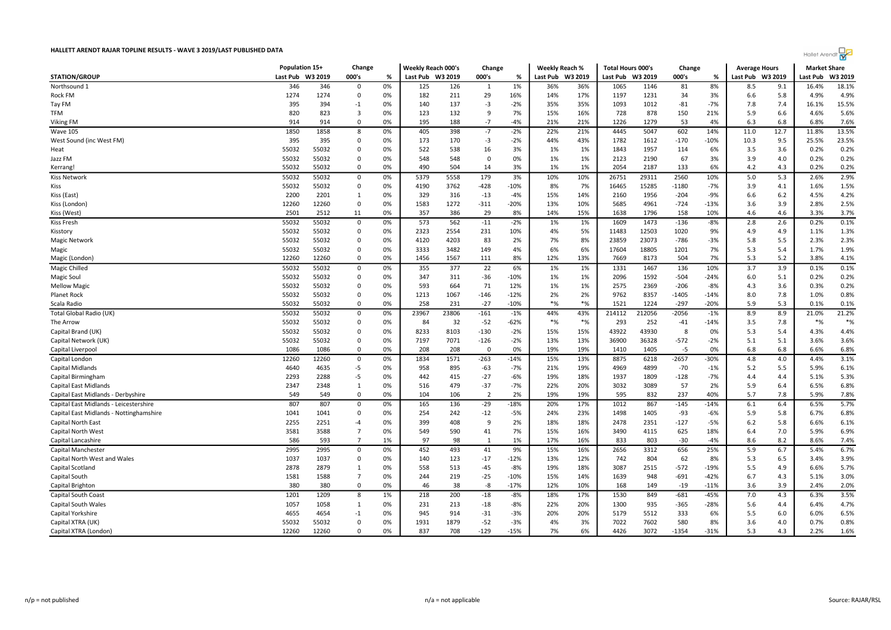|                                         |          | Population 15+ |                         |          |                  | Weekly Reach 000's<br>Change |                 |                 | <b>Weekly Reach %</b> |                  | <b>Total Hours 000's</b> |              | Change         |              | <b>Average Hours</b> |            | <b>Market Share</b> |               |
|-----------------------------------------|----------|----------------|-------------------------|----------|------------------|------------------------------|-----------------|-----------------|-----------------------|------------------|--------------------------|--------------|----------------|--------------|----------------------|------------|---------------------|---------------|
| <b>STATION/GROUP</b>                    | Last Pub | W3 2019        | 000's                   | %        | Last Pub W3 2019 |                              | 000's           | %               |                       | Last Pub W3 2019 | Last Pub                 | W3 2019      | 000's          | %            | Last Pub W3 2019     |            | Last Pub            | W3 2019       |
| Northsound 1                            | 346      | 346            | 0                       | 0%       | 125              | 126                          | 1               | 1%              | 36%                   | 36%              | 1065                     | 1146         | 81             | 8%           | 8.5                  | 9.1        | 16.4%               | 18.1%         |
| Rock FM                                 | 1274     | 1274           | 0                       | 0%       | 182              | 211                          | 29              | 16%             | 14%                   | 17%              | 1197                     | 1231         | 34             | 3%           | 6.6                  | 5.8        | 4.9%                | 4.9%          |
| Tay FM                                  | 395      | 394            | $-1$                    | 0%       | 140              | 137                          | -3              | $-2%$           | 35%                   | 35%              | 1093                     | 1012         | $-81$          | $-7%$        | 7.8                  | 7.4        | 16.1%               | 15.5%         |
| <b>TFM</b>                              | 820      | 823            | $\overline{\mathbf{3}}$ | 0%       | 123              | 132                          | -9              | 7%              | 15%                   | 16%              | 728                      | 878          | 150            | 21%          | 5.9                  | 6.6        | 4.6%                | 5.6%          |
| Viking FM                               | 914      | 914            | $\overline{0}$          | 0%       | 195              | 188                          | $-7$            | $-4%$           | 21%                   | 21%              | 1226                     | 1279         | 53             | 4%           | 6.3                  | 6.8        | 6.8%                | 7.6%          |
| <b>Wave 105</b>                         | 1850     | 1858           | 8                       | 0%       | 405              | 398                          | $-7$            | $-2%$           | 22%                   | 21%              | 4445                     | 5047         | 602            | 14%          | 11.0                 | 12.7       | 11.8%               | 13.5%         |
| West Sound (inc West FM)                | 395      | 395            | $\overline{0}$          | 0%       | 173              | 170                          | $-3$            | $-2%$           | 44%                   | 43%              | 1782                     | 1612         | $-170$         | $-10%$       | 10.3                 | 9.5        | 25.5%               | 23.5%         |
| Heat                                    | 55032    | 55032          | $\overline{0}$          | 0%       | 522              | 538                          | 16              | 3%              | 1%                    | 1%               | 1843                     | 1957         | 114            | 6%           | 3.5                  | 3.6        | 0.2%                | 0.2%          |
| Jazz FM                                 | 55032    | 55032          | 0                       | 0%       | 548              | 548                          | 0               | 0%              | 1%                    | 1%               | 2123                     | 2190         | 67             | 3%           | 3.9                  | 4.0        | 0.2%                | 0.2%          |
| Kerrang!                                | 55032    | 55032          | $\overline{0}$          | 0%       | 490              | 504                          | 14              | 3%              | 1%                    | 1%               | 2054                     | 2187         | 133            | 6%           | 4.2                  | 4.3        | 0.2%                | 0.2%          |
| <b>Kiss Network</b>                     | 55032    | 55032          | $\overline{0}$          | 0%       | 5379             | 5558                         | 179             | 3%              | 10%                   | 10%              | 26751                    | 29311        | 2560           | 10%          | 5.0                  | 5.3        | 2.6%                | 2.9%          |
| Kiss                                    | 55032    | 55032          | $\overline{0}$          | 0%       | 4190             | 3762                         | $-428$          | $-10%$          | 8%                    | 7%               | 16465                    | 15285        | $-1180$        | $-7%$        | 3.9                  | 4.1        | 1.6%                | 1.5%          |
| Kiss (East)                             | 2200     | 2201           | 1                       | 0%       | 329              | 316                          | $-13$           | $-4%$           | 15%                   | 14%              | 2160                     | 1956         | $-204$         | $-9%$        | 6.6                  | 6.2        | 4.5%                | 4.2%          |
| Kiss (London)                           | 12260    | 12260          | $\overline{0}$          | 0%       | 1583             | 1272                         | $-311$          | $-20%$          | 13%                   | 10%              | 5685                     | 4961         | $-724$         | $-13%$       | 3.6                  | 3.9        | 2.8%                | 2.5%          |
| Kiss (West                              | 2501     | 2512           | 11                      | 0%       | 357              | 386                          | 29              | 8%              | 14%                   | 15%              | 1638                     | 1796         | 158            | 10%          | 4.6                  | 4.6        | 3.3%                | 3.7%          |
| Kiss Fresh                              | 55032    | 55032          | 0                       | 0%       | 573              | 562                          | $-11$           | $-2%$           | 1%                    | 1%               | 1609                     | 1473         | $-136$         | $-8%$        | 2.8                  | 2.6        | 0.2%                | 0.1%          |
| Kisstory                                | 55032    | 55032          | $\overline{0}$          | 0%       | 2323             | 2554                         | 231             | 10%             | 4%                    | 5%               | 11483                    | 12503        | 1020           | 9%           | 4.9                  | 4.9        | 1.1%                | 1.3%          |
| Magic Network                           | 55032    | 55032          | $\overline{0}$          | 0%       | 4120             | 4203                         | 83              | 2%              | 7%                    | 8%               | 23859                    | 23073        | $-786$         | $-3%$        | 5.8                  | 5.5        | 2.3%                | 2.3%          |
| Magic                                   | 55032    | 55032          | $\overline{0}$          | 0%       | 3333             | 3482                         | 149             | 4%              | 6%                    | 6%               | 17604                    | 18805        | 1201           | 7%           | 5.3                  | 5.4        | 1.7%                | 1.9%          |
| Magic (London                           | 12260    | 12260          | 0                       | 0%       | 1456             | 1567                         | 111             | 8%              | 12%                   | 13%              | 7669                     | 8173         | 504            | 7%           | 5.3                  | 5.2        | 3.8%                | 4.1%          |
| Magic Chilled                           | 55032    | 55032          | $\mathbf 0$             | 0%       | 355              | 377                          | 22              | 6%              | 1%                    | 1%               | 1331                     | 1467         | 136            | 10%          | 3.7                  | 3.9        | 0.1%                | 0.1%          |
| Magic Soul                              | 55032    | 55032          | $\overline{0}$          | 0%       | 347              | 311                          | $-36$           | $-10%$          | 1%                    | 1%               | 2096                     | 1592         | $-504$         | $-24%$       | 6.0                  | 5.1        | 0.2%                | 0.2%          |
| <b>Mellow Magic</b>                     | 55032    | 55032          | $\overline{0}$          | 0%       | 593              | 664                          | 71              | 12%             | 1%                    | 1%               | 2575                     | 2369         | $-206$         | $-8%$        | 4.3                  | 3.6        | 0.3%                | 0.2%          |
| Planet Rock                             | 55032    | 55032          | $\overline{0}$          | 0%       | 1213             | 1067                         | $-146$          | $-12%$          | 2%                    | 2%               | 9762                     | 8357         | $-1405$        | $-14%$       | 8.0                  | 7.8        | 1.0%                | 0.8%          |
| Scala Radio                             | 55032    | 55032          | 0                       | 0%       | 258              | 231                          | $-27$           | $-10%$          | $*$ %                 | $*$ %            | 1521                     | 1224         | $-297$         | $-20%$       | 5.9                  | 5.3        | 0.1%                | 0.1%          |
| Total Global Radio (UK)                 | 55032    | 55032          | $\overline{0}$          | 0%       | 23967            | 23806                        | $-161$          | $-1%$           | 44%                   | 43%              | 214112                   | 212056       | $-2056$        | $-1%$        | 8.9                  | 8.9        | 21.0%               | 21.2%         |
| The Arrow                               | 55032    | 55032          | 0                       | 0%       | 84               | 32                           | $-52$           | $-62%$          | $*$ %                 | $*$ %            | 293                      | 252          | $-41$          | $-14%$       | 3.5                  | 7.8        | $*$ %               | $\frac{8}{6}$ |
| Capital Brand (UK)                      | 55032    | 55032          | $\mathbf 0$             | 0%       | 8233             | 8103                         | $-130$          | $-2%$           | 15%                   | 15%              | 43922                    | 43930        | 8              | 0%           | 5.3                  | 5.4        | 4.3%                | 4.4%          |
| Capital Network (UK)                    | 55032    | 55032          | $\overline{0}$          | 0%       | 7197             | 7071                         | $-126$          | $-2%$           | 13%                   | 13%              | 36900                    | 36328        | $-572$         | $-2%$        | 5.1                  | 5.1        | 3.6%                | 3.6%          |
| Capital Liverpool                       | 1086     | 1086           | $\overline{0}$          | 0%       | 208              | 208                          | $\mathbf{0}$    | 0%              | 19%                   | 19%              | 1410                     | 1405         | $-5$           | 0%           | 6.8                  | 6.8        | 6.6%                | 6.8%          |
| Capital London                          | 12260    | 12260          | $\overline{0}$          | 0%       | 1834             | 1571                         | $-263$          | $-14%$          | 15%                   | 13%              | 8875                     | 6218         | $-2657$        | $-30%$       | 4.8                  | 4.0        | 4.4%                | 3.1%          |
| Capital Midlands                        | 4640     | 4635           | -5                      | 0%       | 958              | 895                          | -63             | $-7%$           | 21%                   | 19%              | 4969                     | 4899         | $-70$          | $-1%$        | 5.2                  | 5.5        | 5.9%                | 6.1%          |
| Capital Birmingham                      | 2293     | 2288           | $-5$                    | 0%       | 442              | 415                          | $-27$           | $-6%$           | 19%                   | 18%              | 1937                     | 1809         | $-128$         | $-7%$        | 4.4                  | 4.4        | 5.1%                | 5.3%          |
| Capital East Midlands                   | 2347     | 2348           | $\mathbf{1}$            | 0%       | 516              | 479                          | $-37$           | $-7%$           | 22%                   | 20%              | 3032                     | 3089         | 57             | 2%           | 5.9                  | 6.4        | 6.5%                | 6.8%          |
| Capital East Midlands - Derbyshire      | 549      | 549            | $\overline{0}$          | 0%       | 104              | 106                          | $\overline{2}$  | 2%              | 19%                   | 19%              | 595                      | 832          | 237            | 40%          | 5.7                  | 7.8        | 5.9%                | 7.8%          |
| Capital East Midlands - Leicestershire  | 807      | 807            | 0                       | 0%       | 165              | 136                          | $-29$           | $-18%$          | 20%                   | 17%              | 1012                     | 867          | $-145$         | $-14%$       | 6.1                  | 6.4        | 6.5%                | 5.7%          |
| Capital East Midlands - Nottinghamshire | 1041     | 1041           | $\overline{0}$          | 0%       | 254              | 242                          | $-12$           | $-5%$           | 24%                   | 23%              | 1498                     | 1405         | $-93$          | $-6%$        | 5.9                  | 5.8        | 6.7%                | 6.8%          |
| Capital North East                      | 2255     | 2251           | $-4$                    | 0%       | 399              | 408                          | 9               | 2%              | 18%                   | 18%              | 2478                     | 2351         | $-127$         | $-5%$        | $6.2$                | 5.8        | 6.6%                | 6.1%          |
| Capital North West                      | 3581     | 3588           | $\overline{7}$          | 0%       | 549              | 590                          | 41              | 7%              | 15%                   | 16%              | 3490                     | 4115         | 625            | 18%          | 6.4                  | 7.0        | 5.9%                | 6.9%          |
| Capital Lancashire                      | 586      | 593            | $\overline{7}$          | 1%       | 97               | 98                           | $\mathbf{1}$    | 1%              | 17%                   | 16%              | 833                      | 803          | $-30$          | $-4%$        | 8.6                  | 8.2        | 8.6%                | 7.4%          |
| Capital Manchester                      | 2995     | 2995           | $\overline{0}$          | 0%       | 452              | 493                          | 41              | 9%              | 15%                   | 16%              | 2656                     | 3312         | 656            | 25%          | 5.9                  | 6.7        | 5.4%                | 6.7%          |
| Capital North West and Wales            | 1037     | 1037           | $\overline{0}$          | 0%       | 140              | 123                          | $-17$           | $-12%$          | 13%                   | 12%              | 742                      | 804          | 62             | 8%           | 5.3                  | 6.5        | 3.4%                | 3.9%          |
| Capital Scotland                        | 2878     | 2879           | $\mathbf{1}$            | 0%       | 558              | 513                          | $-45$           | $-8%$           | 19%                   | 18%              | 3087                     | 2515         | $-572$         | $-19%$       | 5.5                  | 4.9        | 6.6%                | 5.7%          |
| Capital South                           | 1581     | 1588           | $\overline{7}$          | 0%       | 244              | 219                          | $-25$           | $-10%$          | 15%                   | 14%              | 1639                     | 948          | $-691$         | $-42%$       | 6.7                  | 4.3        | 5.1%                | 3.0%          |
| Capital Brighton                        | 380      | 380            | $\overline{0}$          | 0%       | 46               | 38                           | $-8$            | $-17%$          | 12%                   | 10%              | 168                      | 149          | $-19$          | $-11%$       | 3.6                  | 3.9        | 2.4%                | 2.0%          |
| Capital South Coast                     | 1201     | 1209           | 8                       | 1%       | 218              | 200                          | $-18$           | $-8%$           | 18%                   | 17%              | 1530                     | 849          | $-681$         | $-45%$       | 7.0                  | 4.3        | 6.3%                | 3.5%          |
|                                         | 1057     | 1058           | $\mathbf{1}$            |          | 231              | 213                          | $-18$           | $-8%$           | 22%                   | 20%              | 1300                     | 935          | $-365$         | $-28%$       | 5.6                  | 4.4        | 6.4%                | 4.7%          |
| Capital South Wales                     |          |                |                         | 0%       | 945              |                              |                 |                 |                       |                  |                          |              |                |              |                      |            |                     |               |
| Capital Yorkshire                       | 4655     | 4654           | $-1$                    | 0%       |                  | 914                          | $-31$           | $-3%$           | 20%                   | 20%              | 5179                     | 5512         | 333            | 6%           | 5.5                  | 6.0        | 6.0%                | 6.5%          |
| Capital XTRA (UK)                       | 55032    | 55032<br>12260 | $\mathbf 0$<br>$\Omega$ | 0%<br>0% | 1931<br>837      | 1879<br>708                  | $-52$<br>$-129$ | $-3%$<br>$-15%$ | 4%<br>7%              | 3%<br>6%         | 7022<br>4426             | 7602<br>3072 | 580<br>$-1354$ | 8%<br>$-31%$ | 3.6<br>5.3           | 4.0<br>4.3 | 0.7%<br>2.2%        | 0.8%<br>1.6%  |
| Capital XTRA (London)                   | 12260    |                |                         |          |                  |                              |                 |                 |                       |                  |                          |              |                |              |                      |            |                     |               |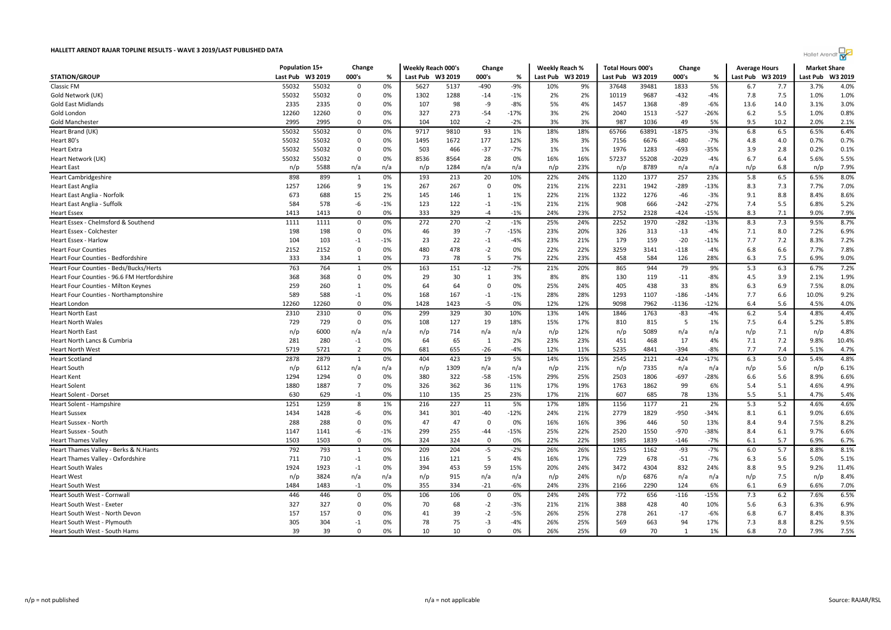|                                             |          | Population 15+<br>Change |                | Weekly Reach 000's<br>Change |                  | <b>Weekly Reach %</b> |                         | <b>Total Hours 000's</b> |                  | Change |          | <b>Average Hours</b> |                 | <b>Market Share</b> |                  |      |          |         |
|---------------------------------------------|----------|--------------------------|----------------|------------------------------|------------------|-----------------------|-------------------------|--------------------------|------------------|--------|----------|----------------------|-----------------|---------------------|------------------|------|----------|---------|
| <b>STATION/GROUP</b>                        | Last Pub | W3 2019                  | 000's          | %                            | Last Pub W3 2019 |                       | 000's                   | %                        | Last Pub W3 2019 |        | Last Pub | W3 2019              | 000's           | %                   | Last Pub W3 2019 |      | Last Pub | W3 2019 |
| <b>Classic FM</b>                           | 55032    | 55032                    | 0              | 0%                           | 5627             | 5137                  | -490                    | $-9%$                    | 10%              | 9%     | 37648    | 39481                | 1833            | 5%                  | 6.7              | 7.7  | 3.7%     | 4.0%    |
| Gold Network (UK)                           | 55032    | 55032                    | 0              | 0%                           | 1302             | 1288                  | $-14$                   | $-1%$                    | 2%               | 2%     | 10119    | 9687                 | $-432$          | $-4%$               | 7.8              | 7.5  | 1.0%     | 1.0%    |
| <b>Gold East Midlands</b>                   | 2335     | 2335                     | $\mathbf 0$    | 0%                           | 107              | 98                    | -9                      | $-8%$                    | 5%               | 4%     | 1457     | 1368                 | $-89$           | $-6%$               | 13.6             | 14.0 | 3.1%     | 3.0%    |
| Gold London                                 | 12260    | 12260                    | $\mathbf 0$    | 0%                           | 327              | 273                   | -54                     | $-17%$                   | 3%               | 2%     | 2040     | 1513                 | $-527$          | -26%                | 6.2              | 5.5  | 1.0%     | 0.8%    |
| <b>Gold Manchester</b>                      | 2995     | 2995                     | 0              | 0%                           | 104              | 102                   | $-2$                    | $-2%$                    | 3%               | 3%     | 987      | 1036                 | 49              | 5%                  | 9.5              | 10.2 | 2.0%     | 2.1%    |
| Heart Brand (UK)                            | 55032    | 55032                    | 0              | 0%                           | 9717             | 9810                  | 93                      | 1%                       | 18%              | 18%    | 65766    | 63891                | $-1875$         | $-3%$               | 6.8              | 6.5  | 6.5%     | 6.4%    |
| Heart 80's                                  | 55032    | 55032                    | $\overline{0}$ | 0%                           | 1495             | 1672                  | 177                     | 12%                      | 3%               | 3%     | 7156     | 6676                 | $-480$          | $-7%$               | 4.8              | 4.0  | 0.7%     | 0.7%    |
| <b>Heart Extra</b>                          | 55032    | 55032                    | $\mathbf 0$    | 0%                           | 503              | 466                   | $-37$                   | $-7%$                    | 1%               | 1%     | 1976     | 1283                 | $-693$          | $-35%$              | 3.9              | 2.8  | 0.2%     | 0.1%    |
| Heart Network (UK)                          | 55032    | 55032                    | $\overline{0}$ | 0%                           | 8536             | 8564                  | 28                      | 0%                       | 16%              | 16%    | 57237    | 55208                | $-2029$         | $-4%$               | 6.7              | 6.4  | 5.6%     | 5.5%    |
| <b>Heart East</b>                           | n/p      | 5588                     | n/a            | n/a                          | n/p              | 1284                  | n/a                     | n/a                      | n/p              | 23%    | n/p      | 8789                 | n/a             | n/a                 | n/p              | 6.8  | n/p      | 7.9%    |
| <b>Heart Cambridgeshire</b>                 | 898      | 899                      | $\mathbf{1}$   | 0%                           | 193              | 213                   | 20                      | 10%                      | 22%              | 24%    | 1120     | 1377                 | 257             | 23%                 | 5.8              | 6.5  | 6.5%     | 8.0%    |
| Heart East Anglia                           | 1257     | 1266                     | 9              | 1%                           | 267              | 267                   | $\overline{\mathbf{0}}$ | 0%                       | 21%              | 21%    | 2231     | 1942                 | $-289$          | $-13%$              | 8.3              | 7.3  | 7.7%     | 7.0%    |
| Heart East Anglia - Norfolk                 | 673      | 688                      | 15             | 2%                           | 145              | 146                   | 1                       | 1%                       | 22%              | 21%    | 1322     | 1276                 | $-46$           | $-3%$               | 9.1              | 8.8  | 8.4%     | 8.6%    |
| Heart East Anglia - Suffolk                 | 584      | 578                      | -6             | $-1%$                        | 123              | 122                   | $-1$                    | $-1%$                    | 21%              | 21%    | 908      | 666                  | $-242$          | $-27%$              | 7.4              | 5.5  | 6.8%     | 5.2%    |
| <b>Heart Essex</b>                          | 1413     | 1413                     | $\Omega$       | 0%                           | 333              | 329                   | $-4$                    | $-1%$                    | 24%              | 23%    | 2752     | 2328                 | $-424$          | $-15%$              | 8.3              | 7.1  | 9.0%     | 7.9%    |
| Heart Essex - Chelmsford & Southend         | 1111     | 1111                     | $\overline{0}$ | 0%                           | 272              | 270                   | $-2$                    | $-1%$                    | 25%              | 24%    | 2252     | 1970                 | $-282$          | $-13%$              | 8.3              | 7.3  | 9.5%     | 8.7%    |
| Heart Essex - Colchester                    | 198      | 198                      | $\mathbf 0$    | 0%                           | 46               | 39                    | $-7$                    | $-15%$                   | 23%              | 20%    | 326      | 313                  | $-13$           | $-4%$               | 7.1              | 8.0  | 7.2%     | 6.9%    |
| Heart Essex - Harlow                        | 104      | 103                      | $-1$           | $-1%$                        | 23               | 22                    | $-1$                    | -4%                      | 23%              | 21%    | 179      | 159                  | $-20$           | $-11%$              | 7.7              | 7.2  | 8.3%     | 7.2%    |
| <b>Heart Four Counties</b>                  | 2152     | 2152                     | $\overline{0}$ | 0%                           | 480              | 478                   | $-2$                    | 0%                       | 22%              | 22%    | 3259     | 3141                 | $-118$          | $-4%$               | 6.8              | 6.6  | 7.7%     | 7.8%    |
| Heart Four Counties - Bedfordshire          | 333      | 334                      | $\mathbf{1}$   | 0%                           | 73               | 78                    | 5                       | 7%                       | 22%              | 23%    | 458      | 584                  | 126             | 28%                 | 6.3              | 7.5  | 6.9%     | 9.0%    |
| Heart Four Counties - Beds/Bucks/Herts      | 763      | 764                      | $\mathbf{1}$   | 0%                           | 163              | 151                   | $-12$                   | $-7%$                    | 21%              | 20%    | 865      | 944                  | 79              | 9%                  | 5.3              | 6.3  | 6.7%     | 7.2%    |
| Heart Four Counties - 96.6 FM Hertfordshire | 368      | 368                      | $\overline{0}$ | 0%                           | 29               | 30                    | $\mathbf{1}$            | 3%                       | 8%               | 8%     | 130      | 119                  | $-11$           | $-8%$               | 4.5              | 3.9  | 2.1%     | 1.9%    |
| Heart Four Counties - Milton Keynes         | 259      | 260                      | 1              | 0%                           | 64               | 64                    | $\mathbf 0$             | 0%                       | 25%              | 24%    | 405      | 438                  | 33              | 8%                  | 6.3              | 6.9  | 7.5%     | 8.0%    |
| Heart Four Counties - Northamptonshire      | 589      | 588                      | $-1$           | 0%                           | 168              | 167                   | $-1$                    | $-1%$                    | 28%              | 28%    | 1293     | 1107                 | $-186$          | $-14%$              | 7.7              | 6.6  | 10.0%    | 9.2%    |
| Heart London                                | 12260    | 12260                    | $\overline{0}$ | 0%                           | 1428             | 1423                  | -5                      | 0%                       | 12%              | 12%    | 9098     | 7962                 | -1136           | $-12%$              | 6.4              | 5.6  | 4.5%     | 4.0%    |
| <b>Heart North East</b>                     | 2310     | 2310                     | $\overline{0}$ | 0%                           | 299              | 329                   | 30                      | 10%                      | 13%              | 14%    | 1846     | 1763                 | $-83$           | $-4%$               | 6.2              | 5.4  | 4.8%     | 4.4%    |
| <b>Heart North Wales</b>                    | 729      | 729                      | 0              | 0%                           | 108              | 127                   | 19                      | 18%                      | 15%              | 17%    | 810      | 815                  | -5              | 1%                  | 7.5              | 6.4  | 5.2%     | 5.8%    |
| <b>Heart North East</b>                     | n/p      | 6000                     | n/a            | n/a                          | n/p              | 714                   | n/a                     | n/a                      | n/p              | 12%    | n/p      | 5089                 | n/a             | n/a                 | n/p              | 7.1  | n/p      | 4.8%    |
| Heart North Lancs & Cumbria                 | 281      | 280                      | $-1$           | 0%                           | 64               | 65                    | 1                       | 2%                       | 23%              | 23%    | 451      | 468                  | 17              | 4%                  | 7.1              | 7.2  | 9.8%     | 10.4%   |
| <b>Heart North West</b>                     | 5719     | 5721                     | $\overline{2}$ | 0%                           | 681              | 655                   | $-26$                   | $-4%$                    | 12%              | 11%    | 5235     | 4841                 | $-394$          | $-8%$               | 7.7              | 7.4  | 5.1%     | 4.7%    |
| <b>Heart Scotland</b>                       | 2878     | 2879                     | $\mathbf{1}$   | 0%                           | 404              | 423                   | 19                      | 5%                       | 14%              | 15%    | 2545     | 2121                 | $-424$          | $-17%$              | 6.3              | 5.0  | 5.4%     | 4.8%    |
| <b>Heart South</b>                          | n/p      | 6112                     | n/a            | n/a                          | n/p              | 1309                  | n/a                     | n/a                      | n/p              | 21%    | n/p      | 7335                 | n/a             | n/a                 | n/p              | 5.6  | n/p      | 6.1%    |
| <b>Heart Kent</b>                           | 1294     | 1294                     | 0              | 0%                           | 380              | 322                   | -58                     | $-15%$                   | 29%              | 25%    | 2503     | 1806                 | $-697$          | $-28%$              | 6.6              | 5.6  | 8.9%     | 6.6%    |
| <b>Heart Solent</b>                         | 1880     | 1887                     | $\overline{7}$ | 0%                           | 326              | 362                   | 36                      | 11%                      | 17%              | 19%    | 1763     | 1862                 | 99              | 6%                  | 5.4              | 5.1  | 4.6%     | 4.9%    |
| Heart Solent - Dorset                       | 630      | 629                      | $-1$           | 0%                           | 110              | 135                   | 25                      | 23%                      | 17%              | 21%    | 607      | 685                  | 78              | 13%                 | 5.5              | 5.1  | 4.7%     | 5.4%    |
| Heart Solent - Hampshire                    | 1251     | 1259                     | 8              | 1%                           | 216              | 227                   | 11                      | 5%                       | 17%              | 18%    | 1156     | 1177                 | $\overline{21}$ | 2%                  | 5.3              | 5.2  | 4.6%     | 4.6%    |
| <b>Heart Sussex</b>                         | 1434     | 1428                     | -6             | 0%                           | 341              | 301                   | $-40$                   | $-12%$                   | 24%              | 21%    | 2779     | 1829                 | $-950$          | $-34%$              | 8.1              | 6.1  | 9.0%     | 6.6%    |
| Heart Sussex - North                        | 288      | 288                      | $\overline{0}$ | 0%                           | 47               | 47                    | $\overline{0}$          | 0%                       | 16%              | 16%    | 396      | 446                  | 50              | 13%                 | 8.4              | 9.4  | 7.5%     | 8.2%    |
| Heart Sussex - South                        | 1147     | 1141                     | -6             | $-1%$                        | 299              | 255                   | $-44$                   | $-15%$                   | 25%              | 22%    | 2520     | 1550                 | $-970$          | -38%                | 8.4              | 6.1  | 9.7%     | 6.6%    |
| <b>Heart Thames Valley</b>                  | 1503     | 1503                     | $\overline{0}$ | 0%                           | 324              | 324                   | $\mathbf{0}$            | 0%                       | 22%              | 22%    | 1985     | 1839                 | $-146$          | $-7%$               | 6.1              | 5.7  | 6.9%     | 6.7%    |
| Heart Thames Valley - Berks & N.Hants       | 792      | 793                      | 1              | 0%                           | 209              | 204                   | -5                      | $-2%$                    | 26%              | 26%    | 1255     | 1162                 | -93             | $-7%$               | 6.0              | 5.7  | 8.8%     | 8.1%    |
| Heart Thames Valley - Oxfordshire           | 711      | 710                      | $-1$           | 0%                           | 116              | 121                   | 5                       | 4%                       | 16%              | 17%    | 729      | 678                  | $-51$           | $-7%$               | 6.3              | 5.6  | 5.0%     | 5.1%    |
| <b>Heart South Wales</b>                    | 1924     | 1923                     | $-1$           | 0%                           | 394              | 453                   | 59                      | 15%                      | 20%              | 24%    | 3472     | 4304                 | 832             | 24%                 | 8.8              | 9.5  | 9.2%     | 11.4%   |
| <b>Heart West</b>                           | n/p      | 3824                     | n/a            | n/a                          | n/p              | 915                   | n/a                     | n/a                      | n/p              | 24%    | n/p      | 6876                 | n/a             | n/a                 | n/p              | 7.5  | n/p      | 8.4%    |
| <b>Heart South West</b>                     | 1484     | 1483                     | $-1$           | 0%                           | 355              | 334                   | $-21$                   | $-6%$                    | 24%              | 23%    | 2166     | 2290                 | 124             | 6%                  | 6.1              | 6.9  | 6.6%     | 7.0%    |
| Heart South West - Cornwall                 | 446      | 446                      | $\overline{0}$ | 0%                           | 106              | 106                   | $\mathbf 0$             | 0%                       | 24%              | 24%    | 772      | 656                  | $-116$          | $-15%$              | 7.3              | 6.2  | 7.6%     | 6.5%    |
| Heart South West - Exeter                   | 327      | 327                      | $\mathbf 0$    | 0%                           | 70               | 68                    | $-2$                    | $-3%$                    | 21%              | 21%    | 388      | 428                  | 40              | 10%                 | 5.6              | 6.3  | 6.3%     | 6.9%    |
| Heart South West - North Devon              | 157      | 157                      | 0              | 0%                           | 41               | 39                    | $-2$                    | -5%                      | 26%              | 25%    | 278      | 261                  | $-17$           | $-6%$               | 6.8              | 6.7  | 8.4%     | 8.3%    |
| Heart South West - Plymouth                 | 305      | 304                      | $-1$           | 0%                           | 78               | 75                    | -3                      | -4%                      | 26%              | 25%    | 569      | 663                  | 94              | 17%                 | 7.3              | 8.8  | 8.2%     | 9.5%    |
| Heart South West - South Hams               | 39       | 39                       | $\Omega$       | 0%                           | 10               | 10                    | $\Omega$                | 0%                       | 26%              | 25%    | 69       | 70                   | $\mathbf{1}$    | 1%                  | 6.8              | 7.0  | 7.9%     | 7.5%    |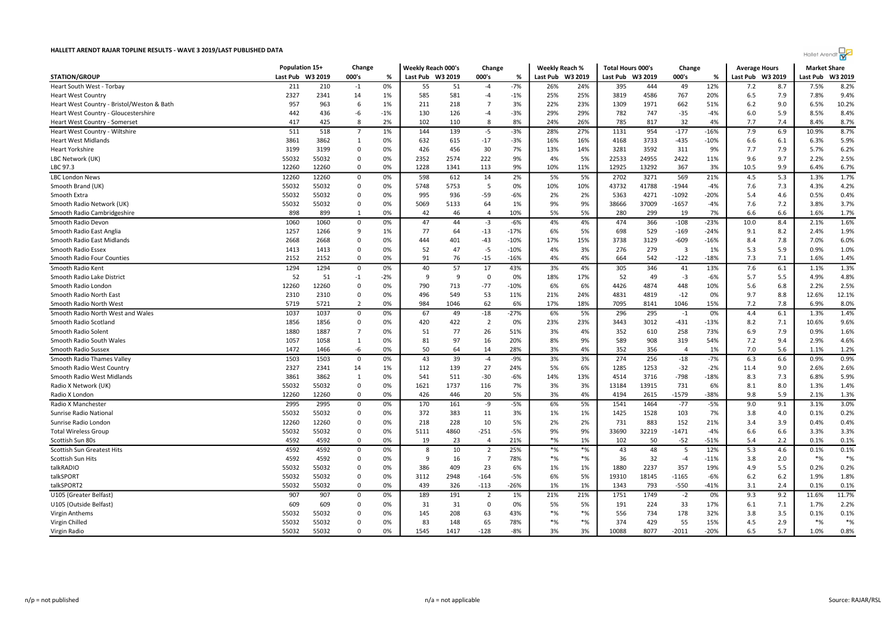| <b>Hallet Arendt</b> |
|----------------------|
|----------------------|

|                                            | Population 15+ |         | Change         |       | Weekly Reach 000's | Change |                | <b>Weekly Reach %</b> |          | <b>Total Hours 000's</b> |                  | Change |                | <b>Average Hours</b> |                  | <b>Market Share</b> |          |         |
|--------------------------------------------|----------------|---------|----------------|-------|--------------------|--------|----------------|-----------------------|----------|--------------------------|------------------|--------|----------------|----------------------|------------------|---------------------|----------|---------|
| <b>STATION/GROUP</b>                       | Last Pub       | W3 2019 | 000's          | %     | Last Pub W3 2019   |        | 000's          | %                     | Last Pub | W3 2019                  | Last Pub W3 2019 |        | 000's          | ℅                    | Last Pub W3 2019 |                     | Last Pub | W3 2019 |
| Heart South West - Torbay                  | 211            | 210     | $-1$           | 0%    | 55                 | 51     | -4             | $-7%$                 | 26%      | 24%                      | 395              | 444    | 49             | 12%                  | 7.2              | 8.7                 | 7.5%     | 8.2%    |
| <b>Heart West Country</b>                  | 2327           | 2341    | 14             | 1%    | 585                | 581    | -4             | $-1%$                 | 25%      | 25%                      | 3819             | 4586   | 767            | 20%                  | 6.5              | 7.9                 | 7.8%     | 9.4%    |
| Heart West Country - Bristol/Weston & Bath | 957            | 963     | 6              | 1%    | 211                | 218    | $\overline{7}$ | 3%                    | 22%      | 23%                      | 1309             | 1971   | 662            | 51%                  | 6.2              | 9.0                 | 6.5%     | 10.2%   |
| Heart West Country - Gloucestershire       | 442            | 436     | -6             | $-1%$ | 130                | 126    | -4             | $-3%$                 | 29%      | 29%                      | 782              | 747    | $-35$          | $-4%$                | 6.0              | 5.9                 | 8.5%     | 8.4%    |
| Heart West Country - Somerset              | 417            | 425     | 8              | 2%    | 102                | 110    | 8              | 8%                    | 24%      | 26%                      | 785              | 817    | 32             | 4%                   | 7.7              | 7.4                 | 8.4%     | 8.7%    |
| Heart West Country - Wiltshire             | 511            | 518     | $\overline{7}$ | 1%    | 144                | 139    | $-5$           | $-3%$                 | 28%      | 27%                      | 1131             | 954    | $-177$         | $-16%$               | 7.9              | 6.9                 | 10.9%    | 8.7%    |
| <b>Heart West Midlands</b>                 | 3861           | 3862    | $\mathbf{1}$   | 0%    | 632                | 615    | $-17$          | $-3%$                 | 16%      | 16%                      | 4168             | 3733   | $-435$         | $-10%$               | 6.6              | 6.1                 | 6.3%     | 5.9%    |
| <b>Heart Yorkshire</b>                     | 3199           | 3199    | $\mathbf 0$    | 0%    | 426                | 456    | 30             | 7%                    | 13%      | 14%                      | 3281             | 3592   | 311            | 9%                   | 7.7              | 7.9                 | 5.7%     | 6.2%    |
| LBC Network (UK)                           | 55032          | 55032   | $\mathbf 0$    | 0%    | 2352               | 2574   | 222            | 9%                    | 4%       | 5%                       | 22533            | 24955  | 2422           | 11%                  | 9.6              | 9.7                 | 2.2%     | 2.5%    |
| LBC 97.3                                   | 12260          | 12260   | $\Omega$       | 0%    | 1228               | 1341   | 113            | 9%                    | 10%      | 11%                      | 12925            | 13292  | 367            | 3%                   | 10.5             | 9.9                 | 6.4%     | 6.7%    |
| <b>LBC London News</b>                     | 12260          | 12260   | 0              | 0%    | 598                | 612    | 14             | 2%                    | 5%       | 5%                       | 2702             | 3271   | 569            | 21%                  | 4.5              | 5.3                 | 1.3%     | 1.7%    |
| Smooth Brand (UK)                          | 55032          | 55032   | $\Omega$       | 0%    | 5748               | 5753   | 5              | 0%                    | 10%      | 10%                      | 43732            | 41788  | $-1944$        | $-4%$                | 7.6              | 7.3                 | 4.3%     | 4.2%    |
| Smooth Extra                               | 55032          | 55032   | $\Omega$       | 0%    | 995                | 936    | $-59$          | $-6%$                 | 2%       | 2%                       | 5363             | 4271   | $-1092$        | $-20%$               | 5.4              | 4.6                 | 0.5%     | 0.4%    |
| Smooth Radio Network (UK)                  | 55032          | 55032   | $\mathbf 0$    | 0%    | 5069               | 5133   | 64             | 1%                    | 9%       | 9%                       | 38666            | 37009  | $-1657$        | $-4%$                | 7.6              | 7.2                 | 3.8%     | 3.7%    |
| Smooth Radio Cambridgeshire                | 898            | 899     | 1              | 0%    | 42                 | 46     | $\overline{4}$ | 10%                   | 5%       | 5%                       | 280              | 299    | 19             | 7%                   | 6.6              | 6.6                 | 1.6%     | 1.7%    |
| Smooth Radio Devon                         | 1060           | 1060    | 0              | 0%    | 47                 | 44     | $-3$           | $-6%$                 | 4%       | 4%                       | 474              | 366    | $-108$         | $-23%$               | 10.0             | 8.4                 | 2.1%     | 1.6%    |
| Smooth Radio East Anglia                   | 1257           | 1266    | 9              | 1%    | 77                 | 64     | $-13$          | $-17%$                | 6%       | 5%                       | 698              | 529    | $-169$         | $-24%$               | 9.1              | 8.2                 | 2.4%     | 1.9%    |
| Smooth Radio East Midlands                 | 2668           | 2668    | $\Omega$       | 0%    | 444                | 401    | $-43$          | $-10%$                | 17%      | 15%                      | 3738             | 3129   | $-609$         | $-16%$               | 8.4              | 7.8                 | 7.0%     | 6.0%    |
| Smooth Radio Essex                         | 1413           | 1413    | $\Omega$       | 0%    | 52                 | 47     | $-5$           | $-10%$                | 4%       | 3%                       | 276              | 279    | $\overline{3}$ | 1%                   | 5.3              | 5.9                 | 0.9%     | 1.0%    |
| Smooth Radio Four Counties                 | 2152           | 2152    | $\Omega$       | 0%    | 91                 | 76     | $-15$          | $-16%$                | 4%       | 4%                       | 664              | 542    | $-122$         | $-18%$               | 7.3              | 7.1                 | 1.6%     | 1.4%    |
| Smooth Radio Kent                          | 1294           | 1294    | $\mathbf 0$    | 0%    | 40                 | 57     | 17             | 43%                   | 3%       | 4%                       | 305              | 346    | 41             | 13%                  | 7.6              | 6.1                 | 1.1%     | 1.3%    |
| Smooth Radio Lake District                 | 52             | 51      | $-1$           | $-2%$ | 9                  | 9      | $\mathbf 0$    | 0%                    | 18%      | 17%                      | 52               | 49     | $-3$           | $-6%$                | 5.7              | 5.5                 | 4.9%     | 4.8%    |
| Smooth Radio Londor                        | 12260          | 12260   | $\mathbf 0$    | 0%    | 790                | 713    | $-77$          | $-10%$                | 6%       | 6%                       | 4426             | 4874   | 448            | 10%                  | 5.6              | 6.8                 | 2.2%     | 2.5%    |
| Smooth Radio North East                    | 2310           | 2310    | $\mathbf 0$    | 0%    | 496                | 549    | 53             | 11%                   | 21%      | 24%                      | 4831             | 4819   | $-12$          | 0%                   | 9.7              | 8.8                 | 12.6%    | 12.1%   |
| Smooth Radio North West                    | 5719           | 5721    | $\overline{2}$ | 0%    | 984                | 1046   | 62             | 6%                    | 17%      | 18%                      | 7095             | 8141   | 1046           | 15%                  | 7.2              | 7.8                 | 6.9%     | 8.0%    |
| Smooth Radio North West and Wales          | 1037           | 1037    | $\Omega$       | 0%    | 67                 | 49     | $-18$          | $-27%$                | 6%       | 5%                       | 296              | 295    | $-1$           | 0%                   | 4.4              | 6.1                 | 1.3%     | 1.4%    |
| Smooth Radio Scotland                      | 1856           | 1856    | $\mathbf 0$    | 0%    | 420                | 422    | $\overline{2}$ | 0%                    | 23%      | 23%                      | 3443             | 3012   | $-431$         | $-13%$               | 8.2              | 7.1                 | 10.6%    | 9.6%    |
| Smooth Radio Solent                        | 1880           | 1887    | $\overline{7}$ | 0%    | 51                 | 77     | 26             | 51%                   | 3%       | 4%                       | 352              | 610    | 258            | 73%                  | 6.9              | 7.9                 | 0.9%     | 1.6%    |
| Smooth Radio South Wales                   | 1057           | 1058    | 1              | 0%    | 81                 | 97     | 16             | 20%                   | 8%       | 9%                       | 589              | 908    | 319            | 54%                  | 7.2              | 9.4                 | 2.9%     | 4.6%    |
| Smooth Radio Sussex                        | 1472           | 1466    | -6             | 0%    | 50                 | 64     | 14             | 28%                   | 3%       | 4%                       | 352              | 356    | $\overline{4}$ | 1%                   | 7.0              | 5.6                 | 1.1%     | 1.2%    |
| Smooth Radio Thames Valley                 | 1503           | 1503    | $\Omega$       | 0%    | 43                 | 39     | $-4$           | $-9%$                 | 3%       | 3%                       | 274              | 256    | $-18$          | $-7%$                | 6.3              | 6.6                 | 0.9%     | 0.9%    |
| Smooth Radio West Country                  | 2327           | 2341    | 14             | 1%    | 112                | 139    | 27             | 24%                   | 5%       | 6%                       | 1285             | 1253   | $-32$          | $-2%$                | 11.4             | 9.0                 | 2.6%     | 2.6%    |
| Smooth Radio West Midlands                 | 3861           | 3862    | $\mathbf{1}$   | 0%    | 541                | 511    | $-30$          | $-6%$                 | 14%      | 13%                      | 4514             | 3716   | $-798$         | $-18%$               | 8.3              | 7.3                 | 6.8%     | 5.9%    |
| Radio X Network (UK)                       | 55032          | 55032   | $\mathbf 0$    | 0%    | 1621               | 1737   | 116            | 7%                    | 3%       | 3%                       | 13184            | 13915  | 731            | 6%                   | 8.1              | 8.0                 | 1.3%     | 1.4%    |
| Radio X London                             | 12260          | 12260   | $\mathbf 0$    | 0%    | 426                | 446    | 20             | 5%                    | 3%       | 4%                       | 4194             | 2615   | $-1579$        | $-38%$               | 9.8              | 5.9                 | 2.1%     | 1.3%    |
| Radio X Manchester                         | 2995           | 2995    | 0              | 0%    | 170                | 161    | -9             | $-5%$                 | 6%       | 5%                       | 1541             | 1464   | $-77$          | $-5%$                | 9.0              | 9.1                 | 3.1%     | 3.0%    |
| Sunrise Radio National                     | 55032          | 55032   | 0              | 0%    | 372                | 383    | 11             | 3%                    | 1%       | 1%                       | 1425             | 1528   | 103            | 7%                   | 3.8              | 4.0                 | 0.1%     | 0.2%    |
| Sunrise Radio London                       | 12260          | 12260   | $\Omega$       | 0%    | 218                | 228    | 10             | 5%                    | 2%       | 2%                       | 731              | 883    | 152            | 21%                  | 3.4              | 3.9                 | 0.4%     | 0.4%    |
| <b>Total Wireless Group</b>                | 55032          | 55032   | $\mathbf 0$    | 0%    | 5111               | 4860   | $-251$         | $-5%$                 | 9%       | 9%                       | 33690            | 32219  | $-1471$        | $-4%$                | 6.6              | 6.6                 | 3.3%     | 3.3%    |
| Scottish Sun 80s                           | 4592           | 4592    | $\mathbf 0$    | 0%    | 19                 | 23     | $\overline{a}$ | 21%                   | $*$ %    | 1%                       | 102              | 50     | $-52$          | $-51%$               | 5.4              | 2.2                 | 0.1%     | 0.1%    |
| Scottish Sun Greatest Hits                 | 4592           | 4592    | $\mathbf 0$    | 0%    | 8                  | 10     | $\overline{2}$ | 25%                   | $*$ %    | $*$ %                    | 43               | 48     | 5              | 12%                  | 5.3              | 4.6                 | 0.1%     | 0.1%    |
| Scottish Sun Hits                          | 4592           | 4592    | $\mathbf 0$    | 0%    | 9                  | 16     | $\overline{7}$ | 78%                   | $*$ %    | $*%$                     | 36               | 32     | $-4$           | $-11%$               | 3.8              | 2.0                 | $*_{\%}$ | $*$ %   |
| talkRADIO                                  | 55032          | 55032   | $\mathbf 0$    | 0%    | 386                | 409    | 23             | 6%                    | 1%       | 1%                       | 1880             | 2237   | 357            | 19%                  | 4.9              | 5.5                 | 0.2%     | 0.2%    |
| talkSPORT                                  | 55032          | 55032   | $\Omega$       | 0%    | 3112               | 2948   | $-164$         | $-5%$                 | 6%       | 5%                       | 19310            | 18145  | $-1165$        | $-6%$                | 6.2              | 6.2                 | 1.9%     | 1.8%    |
| talkSPORT2                                 | 55032          | 55032   | $\Omega$       | 0%    | 439                | 326    | $-113$         | $-26%$                | 1%       | 1%                       | 1343             | 793    | $-550$         | $-41%$               | 3.1              | 2.4                 | 0.1%     | 0.1%    |
| U105 (Greater Belfast)                     | 907            | 907     | 0              | 0%    | 189                | 191    | $\overline{2}$ | 1%                    | 21%      | 21%                      | 1751             | 1749   | $-2$           | 0%                   | 9.3              | 9.2                 | 11.6%    | 11.7%   |
| U105 (Outside Belfast)                     | 609            | 609     | $\Omega$       | 0%    | 31                 | 31     | $\Omega$       | 0%                    | 5%       | 5%                       | 191              | 224    | 33             | 17%                  | 6.1              | 7.1                 | 1.7%     | 2.2%    |
| Virgin Anthems                             | 55032          | 55032   | $\mathbf 0$    | 0%    | 145                | 208    | 63             | 43%                   | $*$ %    | $*$ %                    | 556              | 734    | 178            | 32%                  | 3.8              | 3.5                 | 0.1%     | 0.1%    |
| Virgin Chilled                             | 55032          | 55032   | $\mathbf 0$    | 0%    | 83                 | 148    | 65             | 78%                   | $*$ %    | $*$ %                    | 374              | 429    | 55             | 15%                  | 4.5              | 2.9                 | $*$ %    | $*%$    |
| Virgin Radio                               | 55032          | 55032   | $\Omega$       | 0%    | 1545               | 1417   | $-128$         | $-8%$                 | 3%       | 3%                       | 10088            | 8077   | $-2011$        | $-20%$               | 6.5              | 5.7                 | 1.0%     | 0.8%    |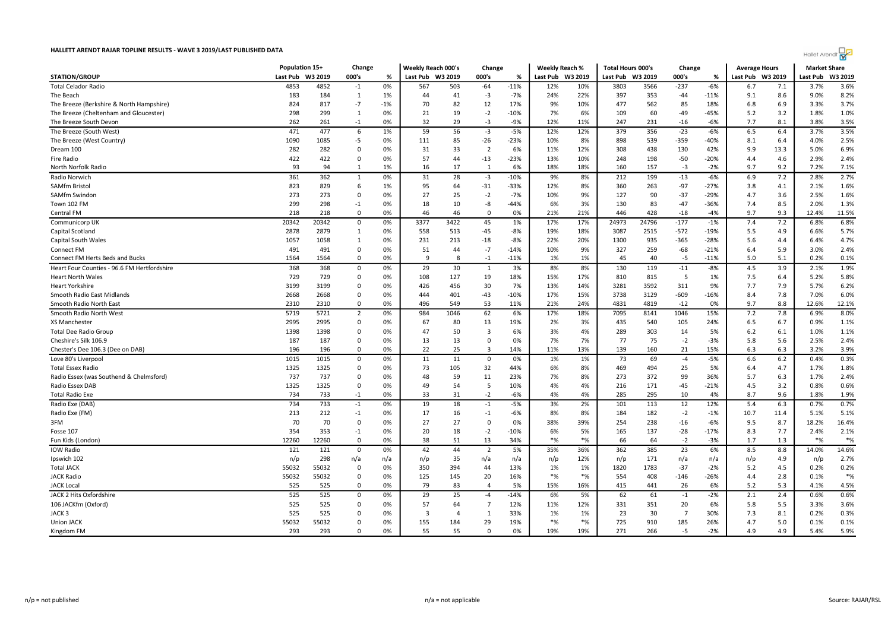| <b>Hallet Arendt</b> |
|----------------------|
|----------------------|

|                                                       |            | Population 15+ |                         | Change   | Weekly Reach 000's |                 | Change                  |          | Weekly Reach % |                  | <b>Total Hours 000's</b> |           | Change         |             | <b>Average Hours</b> |            | <b>Market Share</b> |              |
|-------------------------------------------------------|------------|----------------|-------------------------|----------|--------------------|-----------------|-------------------------|----------|----------------|------------------|--------------------------|-----------|----------------|-------------|----------------------|------------|---------------------|--------------|
| <b>STATION/GROUP</b>                                  | Last Pub   | W3 2019        | 000's                   | %        | Last Pub W3 2019   |                 | 000's                   | ℅        |                | Last Pub W3 2019 | Last Pub W3 2019         |           | 000's          | %           | Last Pub W3 2019     |            | Last Pub            | W3 2019      |
| <b>Total Celador Radio</b>                            | 4853       | 4852           | $-1$                    | 0%       | 567                | 503             | $-64$                   | $-11%$   | 12%            | 10%              | 3803                     | 3566      | $-237$         | $-6%$       | 6.7                  | 7.1        | 3.7%                | 3.6%         |
| The Beach                                             | 183        | 184            | 1                       | 1%       | 44                 | 41              | $-3$                    | $-7%$    | 24%            | 22%              | 397                      | 353       | -44            | $-11%$      | 9.1                  | 8.6        | 9.0%                | 8.2%         |
| The Breeze (Berkshire & North Hampshire               | 824        | 817            | $-7$                    | $-1%$    | 70                 | 82              | 12                      | 17%      | 9%             | 10%              | 477                      | 562       | 85             | 18%         | 6.8                  | 6.9        | 3.3%                | 3.7%         |
| The Breeze (Cheltenham and Gloucester)                | 298        | 299            | 1                       | 0%       | 21                 | 19              | $-2$                    | $-10%$   | 7%             | 6%               | 109                      | 60        | -49            | $-45%$      | 5.2                  | 3.2        | 1.8%                | 1.0%         |
| The Breeze South Devon                                | 262        | 261            | $-1$                    | 0%       | 32                 | 29              | $-3$                    | $-9%$    | 12%            | 11%              | 247                      | 231       | $-16$          | $-6%$       | 7.7                  | 8.1        | 3.8%                | 3.5%         |
| The Breeze (South West)                               | 471        | 477            | 6                       | 1%       | 59                 | 56              | $-3$                    | $-5%$    | 12%            | 12%              | 379                      | 356       | $-23$          | $-6%$       | 6.5                  | 6.4        | 3.7%                | 3.5%         |
| The Breeze (West Country)                             | 1090       | 1085           | $-5$                    | 0%       | 111                | 85              | $-26$                   | $-23%$   | 10%            | 8%               | 898                      | 539       | $-359$         | -40%        | 8.1                  | 6.4        | 4.0%                | 2.5%         |
| Dream 100                                             | 282        | 282            | $\mathbf 0$             | 0%       | 31                 | 33              | $\overline{2}$          | 6%       | 11%            | 12%              | 308                      | 438       | 130            | 42%         | 9.9                  | 13.3       | 5.0%                | 6.9%         |
| Fire Radio                                            | 422        | 422            | 0                       | 0%       | 57                 | 44              | $-13$                   | $-23%$   | 13%            | 10%              | 248                      | 198       | $-50$          | -20%        | 4.4                  | 4.6        | 2.9%                | 2.4%         |
| North Norfolk Radio                                   | 93         | 94             | 1                       | 1%       | 16                 | 17              | 1                       | 6%       | 18%            | 18%              | 160                      | 157       | $-3$           | $-2%$       | 9.7                  | 9.2        | 7.2%                | 7.1%         |
| Radio Norwich                                         | 361        | 362            | $\mathbf{1}$            | 0%       | $\overline{31}$    | 28              | $-3$                    | $-10%$   | 9%             | 8%               | 212                      | 199       | $-13$          | $-6%$       | 6.9                  | 7.2        | 2.8%                | 2.7%         |
| <b>SAMfm Bristol</b>                                  | 823        | 829            | 6                       | 1%       | 95                 | 64              | $-31$                   | $-33%$   | 12%            | 8%               | 360                      | 263       | $-97$          | $-27%$      | 3.8                  | 4.1        | 2.1%                | 1.6%         |
| SAMfm Swindon                                         | 273        | 273            | 0                       | 0%       | 27                 | 25              | $-2$                    | $-7%$    | 10%            | 9%               | 127                      | 90        | $-37$          | -29%        | 4.7                  | 3.6        | 2.5%                | 1.6%         |
| Town 102 FM                                           | 299        | 298            | $-1$                    | 0%       | 18                 | 10              | -8                      | $-44%$   | 6%             | 3%               | 130                      | 83        | $-47$          | -36%        | 7.4                  | 8.5        | 2.0%                | 1.3%         |
| Central FM                                            | 218        | 218            | $\Omega$                | 0%       | 46                 | 46              | $\Omega$                | 0%       | 21%            | 21%              | 446                      | 428       | $-18$          | $-4%$       | 9.7                  | 9.3        | 12.4%               | 11.5%        |
| Communicorp UK                                        | 20342      | 20342          | 0                       | 0%       | 3377               | 3422            | 45                      | 1%       | 17%            | 17%              | 24973                    | 24796     | $-177$         | $-1%$       | 7.4                  | 7.2        | 6.8%                | 6.8%         |
| Capital Scotland                                      | 2878       | 2879           | 1                       | 0%       | 558                | 513             | $-45$                   | $-8%$    | 19%            | 18%              | 3087                     | 2515      | $-572$         | $-19%$      | 5.5                  | 4.9        | 6.6%                | 5.7%         |
| Capital South Wales                                   | 1057       | 1058           | 1                       | 0%       | 231                | 213             | $-18$                   | $-8%$    | 22%            | 20%              | 1300                     | 935       | $-365$         | $-28%$      | 5.6                  | 4.4        | 6.4%                | 4.7%         |
| Connect FM                                            | 491        | 491            | $\mathbf 0$             | 0%       | 51                 | 44              | $-7$                    | $-14%$   | 10%            | 9%               | 327                      | 259       | $-68$          | $-21%$      | 6.4                  | 5.9        | 3.0%                | 2.4%         |
| Connect FM Herts Beds and Bucks                       | 1564       | 1564           | 0                       | 0%       | 9                  | 8               | $-1$                    | $-11%$   | 1%             | 1%               | 45                       | 40        | $-5$           | $-11%$      | 5.0                  | 5.1        | 0.2%                | 0.1%         |
| Heart Four Counties - 96.6 FM Hertfordshire           | 368        | 368            | $\mathbf 0$             | 0%       | 29                 | 30              | $\mathbf{1}$            | 3%       | 8%             | 8%               | 130                      | 119       | $-11$          | $-8%$       | 4.5                  | 3.9        | 2.1%                | 1.9%         |
| <b>Heart North Wales</b>                              | 729        | 729            | $\Omega$                | 0%       | 108                | 127             | 19                      | 18%      | 15%            | 17%              | 810                      | 815       | 5              | 1%          | 7.5                  | 6.4        | 5.2%                | 5.8%         |
| <b>Heart Yorkshire</b>                                | 3199       | 3199           | $\mathbf 0$             | 0%       | 426                | 456             | 30                      | 7%       | 13%            | 14%              | 3281                     | 3592      | 311            | 9%          | 7.7                  | 7.9        | 5.7%                | 6.2%         |
| Smooth Radio East Midlands                            | 2668       | 2668           | $\mathbf 0$             | 0%       | 444                | 401             | $-43$                   | $-10%$   | 17%            | 15%              | 3738                     | 3129      | $-609$         | $-16%$      | 8.4                  | 7.8        | 7.0%                | 6.0%         |
| Smooth Radio North East                               | 2310       | 2310           | 0                       | 0%       | 496                | 549             | 53                      | 11%      | 21%            | 24%              | 4831                     | 4819      | $-12$          | 0%          | 9.7                  | 8.8        | 12.6%               | 12.1%        |
| Smooth Radio North West                               | 5719       | 5721           | $\overline{2}$          | 0%       | 984                | 1046            | 62                      | 6%       | 17%            | 18%              | 7095                     | 8141      |                | 15%         | 7.2                  | 7.8        | 6.9%                | 8.0%         |
|                                                       | 2995       | 2995           | 0                       |          |                    |                 |                         |          |                |                  |                          |           | 1046           |             |                      |            | 0.9%                |              |
| XS Manchester                                         |            |                |                         | 0%       | 67                 | 80              | 13                      | 19%      | 2%             | 3%               | 435                      | 540       | 105            | 24%         | 6.5                  | 6.7        |                     | 1.1%         |
| <b>Total Dee Radio Group</b><br>Cheshire's Silk 106.9 | 1398       | 1398<br>187    | $\mathbf 0$<br>$\Omega$ | 0%<br>0% | 47<br>13           | 50<br>13        | 3<br>$\Omega$           | 6%<br>0% | 3%<br>7%       | 4%<br>7%         | 289<br>77                | 303<br>75 | 14<br>$-2$     | 5%<br>$-3%$ | 6.2<br>5.8           | 6.1<br>5.6 | 1.0%<br>2.5%        | 1.1%<br>2.4% |
|                                                       | 187<br>196 | 196            | $\mathbf 0$             | 0%       | 22                 | 25              | 3                       | 14%      | 11%            | 13%              | 139                      | 160       | 21             | 15%         | 6.3                  | 6.3        | 3.2%                | 3.9%         |
| Chester's Dee 106.3 (Dee on DAB)                      |            |                |                         |          |                    |                 |                         |          |                |                  |                          |           |                |             |                      |            |                     |              |
| Love 80's Liverpool                                   | 1015       | 1015           | $\mathbf 0$             | 0%       | 11                 | 11              | $\mathbf 0$             | 0%       | 1%             | 1%               | 73                       | 69        | $-4$           | $-5%$       | 6.6                  | 6.2        | 0.4%                | 0.3%         |
| <b>Total Essex Radio</b>                              | 1325       | 1325           | 0                       | 0%       | 73                 | 105             | 32                      | 44%      | 6%             | 8%               | 469                      | 494       | 25             | 5%          | 6.4                  | 4.7        | 1.7%                | 1.8%         |
| Radio Essex (was Southend & Chelmsford)               | 737        | 737            | $\Omega$                | 0%       | 48                 | 59              | 11                      | 23%      | 7%             | 8%               | 273                      | 372       | 99             | 36%         | 5.7                  | 6.3        | 1.7%                | 2.4%         |
| Radio Essex DAB                                       | 1325       | 1325           | $\Omega$                | 0%       | 49                 | 54              | 5                       | 10%      | 4%             | 4%               | 216                      | 171       | $-45$          | $-21%$      | 4.5                  | 3.2        | 0.8%                | 0.6%         |
| <b>Total Radio Exe</b>                                | 734        | 733            | $-1$                    | 0%       | 33                 | 31              | $-2$                    | $-6%$    | 4%             | 4%               | 285                      | 295       | 10             | 4%          | 8.7                  | 9.6        | 1.8%                | 1.9%         |
| Radio Exe (DAB)                                       | 734        | 733            | $-1$                    | 0%       | 19                 | 18              | $-1$                    | $-5%$    | 3%             | 2%               | 101                      | 113       | 12             | 12%         | 5.4                  | 6.3        | 0.7%                | 0.7%         |
| Radio Exe (FM)                                        | 213        | 212            | $-1$                    | 0%       | 17                 | 16              | $-1$                    | $-6%$    | 8%             | 8%               | 184                      | 182       | $-2$           | $-1%$       | 10.7                 | 11.4       | 5.1%                | 5.1%         |
| 3FM                                                   | 70         | 70             | 0                       | 0%       | 27                 | 27              | 0                       | 0%       | 38%            | 39%              | 254                      | 238       | $-16$          | $-6%$       | 9.5                  | 8.7        | 18.2%               | 16.4%        |
| Fosse 107                                             | 354        | 353            | $-1$                    | 0%       | 20                 | 18              | $-2$                    | $-10%$   | 6%             | 5%               | 165                      | 137       | $-28$          | $-17%$      | 8.3                  | 7.7        | 2.4%                | 2.1%         |
| Fun Kids (London)                                     | 12260      | 12260          | $\mathbf 0$             | 0%       | 38                 | 51              | 13                      | 34%      | $*$ %          | $*$ %            | 66                       | 64        | $-2$           | $-3%$       | 1.7                  | 1.3        | $*$ %               | $*%$         |
| <b>IOW Radio</b>                                      | 121        | 121            | $\mathbf 0$             | 0%       | 42                 | 44              | $\overline{2}$          | 5%       | 35%            | 36%              | 362                      | 385       | 23             | 6%          | 8.5                  | 8.8        | 14.0%               | 14.6%        |
| Ipswich 102                                           | n/p        | 298            | n/a                     | n/a      | n/p                | 35              | n/a                     | n/a      | n/p            | 12%              | n/p                      | 171       | n/a            | n/a         | n/p                  | 4.9        | n/p                 | 2.7%         |
| <b>Total JACK</b>                                     | 55032      | 55032          | 0                       | 0%       | 350                | 394             | 44                      | 13%      | 1%             | 1%               | 1820                     | 1783      | $-37$          | $-2%$       | 5.2                  | 4.5        | 0.2%                | 0.2%         |
| <b>JACK Radio</b>                                     | 55032      | 55032          | $\mathbf 0$             | 0%       | 125                | 145             | 20                      | 16%      | $*$ %          | $*$ %            | 554                      | 408       | $-146$         | $-26%$      | 4.4                  | 2.8        | 0.1%                | $*$ %        |
| <b>JACK Local</b>                                     | 525        | 525            | $\Omega$                | 0%       | 79                 | 83              | $\overline{\mathbf{A}}$ | 5%       | 15%            | 16%              | 415                      | 441       | 26             | 6%          | 5.2                  | 5.3        | 4.1%                | 4.5%         |
| JACK 2 Hits Oxfordshire                               | 525        | 525            | $\mathsf 0$             | 0%       | 29                 | $\overline{25}$ | $-4$                    | $-14%$   | 6%             | 5%               | 62                       | 61        | $-1$           | $-2%$       | 2.1                  | 2.4        | 0.6%                | 0.6%         |
| 106 JACKfm (Oxford)                                   | 525        | 525            | $\Omega$                | 0%       | 57                 | 64              | $\overline{7}$          | 12%      | 11%            | 12%              | 331                      | 351       | 20             | 6%          | 5.8                  | 5.5        | 3.3%                | 3.6%         |
| JACK 3                                                | 525        | 525            | 0                       | 0%       | -3                 | $\overline{4}$  | 1                       | 33%      | 1%             | 1%               | 23                       | 30        | $\overline{7}$ | 30%         | 7.3                  | 8.1        | 0.2%                | 0.3%         |
| Union JACK                                            | 55032      | 55032          | $\mathbf 0$             | 0%       | 155                | 184             | 29                      | 19%      | $*$ %          | $*$ %            | 725                      | 910       | 185            | 26%         | 4.7                  | 5.0        | 0.1%                | 0.1%         |
| Kingdom FM                                            | 293        | 293            | $\Omega$                | 0%       | 55                 | 55              | $\Omega$                | 0%       | 19%            | 19%              | 271                      | 266       | $-5$           | $-2%$       | 4.9                  | 4.9        | 5.4%                | 5.9%         |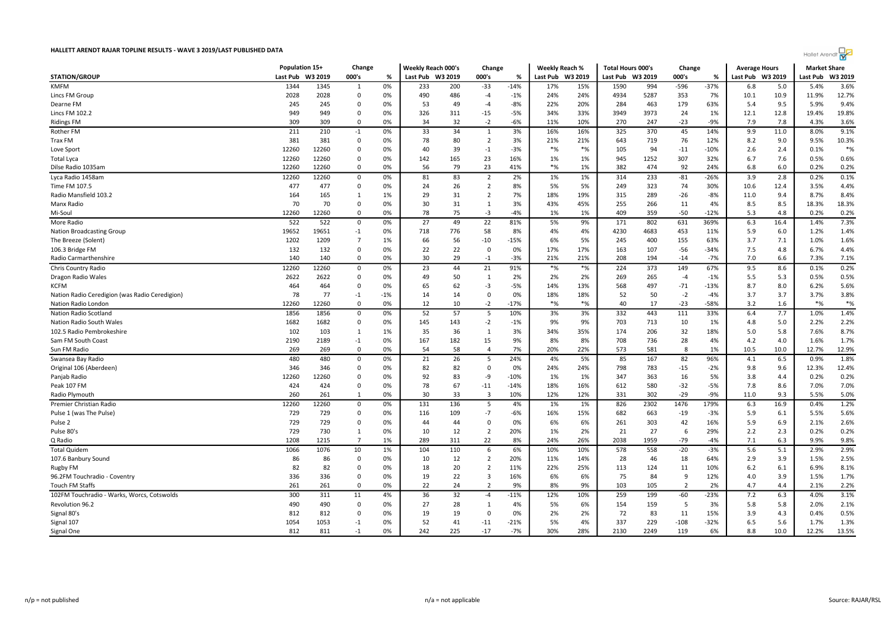| Hallet Arendt |  |
|---------------|--|
|---------------|--|

| HALLETT ARENDT RAJAR TOPLINE RESULTS - WAVE 3 2019/LAST PUBLISHED DATA |                |         |                |       |                    |         |                |        |                  |       |                          |      |                |        |                      |      | Hallet Arendt       |         |
|------------------------------------------------------------------------|----------------|---------|----------------|-------|--------------------|---------|----------------|--------|------------------|-------|--------------------------|------|----------------|--------|----------------------|------|---------------------|---------|
|                                                                        | Population 15+ |         | Change         |       | Weekly Reach 000's |         | Change         |        | Weekly Reach %   |       | <b>Total Hours 000's</b> |      | Change         |        | <b>Average Hours</b> |      | <b>Market Share</b> |         |
| <b>STATION/GROUP</b>                                                   | Last Pub       | W3 2019 | 000's          | %     | Last Pub           | W3 2019 | 000's          | %      | Last Pub W3 2019 |       | Last Pub W3 2019         |      | 000's          | %      | Last Pub W3 2019     |      | Last Pub            | W3 2019 |
| <b>KMFM</b>                                                            | 1344           | 1345    | 1              | 0%    | 233                | 200     | $-33$          | $-14%$ | 17%              | 15%   | 1590                     | 994  | $-596$         | $-37%$ | 6.8                  | 5.0  | 5.4%                | 3.6%    |
| Lincs FM Group                                                         | 2028           | 2028    | $\mathbf 0$    | 0%    | 490                | 486     | -4             | $-1%$  | 24%              | 24%   | 4934                     | 5287 | 353            | 7%     | 10.1                 | 10.9 | 11.9%               | 12.7%   |
| Dearne FM                                                              | 245            | 245     | 0              | 0%    | 53                 | 49      | -4             | $-8%$  | 22%              | 20%   | 284                      | 463  | 179            | 63%    | 5.4                  | 9.5  | 5.9%                | 9.4%    |
| Lincs FM 102.2                                                         | 949            | 949     | $\mathbf 0$    | 0%    | 326                | 311     | $-15$          | $-5%$  | 34%              | 33%   | 3949                     | 3973 | 24             | 1%     | 12.1                 | 12.8 | 19.4%               | 19.8%   |
| <b>Ridings FM</b>                                                      | 309            | 309     | $\Omega$       | 0%    | 34                 | 32      | $-2$           | $-6%$  | 11%              | 10%   | 270                      | 247  | $-23$          | $-9%$  | 7.9                  | 7.8  | 4.3%                | 3.6%    |
| Rother FM                                                              | 211            | 210     | $-1$           | 0%    | 33                 | 34      | $\mathbf{1}$   | 3%     | 16%              | 16%   | 325                      | 370  | 45             | 14%    | 9.9                  | 11.0 | 8.0%                | 9.1%    |
| Trax FM                                                                | 381            | 381     | $\mathbf 0$    | 0%    | 78                 | 80      | $\overline{2}$ | 3%     | 21%              | 21%   | 643                      | 719  | 76             | 12%    | 8.2                  | 9.0  | 9.5%                | 10.3%   |
| Love Sport                                                             | 12260          | 12260   | $\mathbf 0$    | 0%    | 40                 | 39      | $-1$           | $-3%$  | $*$ %            | $*$ % | 105                      | 94   | $-11$          | -10%   | 2.6                  | 2.4  | 0.1%                | $*%$    |
| <b>Total Lyca</b>                                                      | 12260          | 12260   | $\Omega$       | 0%    | 142                | 165     | 23             | 16%    | 1%               | 1%    | 945                      | 1252 | 307            | 32%    | 6.7                  | 7.6  | 0.5%                | 0.6%    |
| Dilse Radio 1035am                                                     | 12260          | 12260   | 0              | 0%    | 56                 | 79      | 23             | 41%    | $\frac{*}{6}$    | 1%    | 382                      | 474  | 92             | 24%    | 6.8                  | 6.0  | 0.2%                | 0.2%    |
| Lyca Radio 1458am                                                      | 12260          | 12260   | $\mathbf 0$    | 0%    | 81                 | 83      | $\overline{2}$ | 2%     | 1%               | 1%    | 314                      | 233  | $-81$          | $-26%$ | 3.9                  | 2.8  | 0.2%                | 0.1%    |
| Time FM 107.5                                                          | 477            | 477     | $\mathbf 0$    | 0%    | 24                 | 26      | $\overline{2}$ | 8%     | 5%               | 5%    | 249                      | 323  | 74             | 30%    | 10.6                 | 12.4 | 3.5%                | 4.4%    |
| Radio Mansfield 103.2                                                  | 164            | 165     | $\mathbf{1}$   | 1%    | 29                 | 31      | $\overline{2}$ | 7%     | 18%              | 19%   | 315                      | 289  | $-26$          | $-8%$  | 11.0                 | 9.4  | 8.7%                | 8.4%    |
| Manx Radio                                                             | 70             | 70      | $\Omega$       | 0%    | 30                 | 31      | 1              | 3%     | 43%              | 45%   | 255                      | 266  | 11             | 4%     | 8.5                  | 8.5  | 18.3%               | 18.3%   |
| Mi-Soul                                                                | 12260          | 12260   | 0              | 0%    | 78                 | 75      | $-3$           | -4%    | 1%               | 1%    | 409                      | 359  | $-50$          | $-12%$ | 5.3                  | 4.8  | 0.2%                | 0.2%    |
| More Radio                                                             | 522            | 522     | $\Omega$       | 0%    | 27                 | 49      | 22             | 81%    | 5%               | 9%    | 171                      | 802  | 631            | 369%   | 6.3                  | 16.4 | 1.4%                | 7.3%    |
|                                                                        | 19652          | 19651   | $-1$           | 0%    | 718                | 776     | 58             | 8%     | 4%               | 4%    | 4230                     | 4683 | 453            | 11%    | 5.9                  | 6.0  | 1.2%                | 1.4%    |
| <b>Nation Broadcasting Group</b><br>The Breeze (Solent)                | 1202           | 1209    | $\overline{7}$ | 1%    | 66                 | 56      | $-10$          | $-15%$ | 6%               | 5%    | 245                      | 400  | 155            | 63%    | 3.7                  | 7.1  | 1.0%                | 1.6%    |
|                                                                        | 132            | 132     | 0              | 0%    | 22                 | 22      | $\mathbf 0$    | 0%     | 17%              | 17%   |                          | 107  | $-56$          | $-34%$ | 7.5                  | 4.8  | 6.7%                | 4.4%    |
| 106.3 Bridge FM<br>Radio Carmarthenshire                               | 140            | 140     | $\mathbf 0$    | 0%    | 30                 | 29      | $-1$           | $-3%$  | 21%              | 21%   | 163<br>208               | 194  |                | $-7%$  | 7.0                  | 6.6  | 7.3%                | 7.1%    |
|                                                                        |                | 12260   |                |       |                    | 44      |                |        |                  | $*$ % | 224                      |      | $-14$          |        | 9.5                  |      | 0.1%                | 0.2%    |
| Chris Country Radio                                                    | 12260          |         | $\mathbf 0$    | 0%    | 23                 |         | 21             | 91%    | $*$ %            |       |                          | 373  | 149            | 67%    |                      | 8.6  |                     |         |
| Dragon Radio Wales                                                     | 2622           | 2622    | $\mathbf 0$    | 0%    | 49                 | 50      | 1              | 2%     | 2%               | 2%    | 269                      | 265  | $-4$           | $-1%$  | 5.5                  | 5.3  | 0.5%                | 0.5%    |
| <b>KCFM</b>                                                            | 464            | 464     | $\mathbf 0$    | 0%    | 65                 | 62      | -3             | $-5%$  | 14%              | 13%   | 568                      | 497  | $-71$          | $-13%$ | 8.7                  | 8.0  | 6.2%                | 5.6%    |
| Nation Radio Ceredigion (was Radio Ceredigion)                         | 78             | 77      | $-1$           | $-1%$ | 14                 | 14      | 0              | 0%     | 18%              | 18%   | 52                       | 50   | $-2$           | $-4%$  | 3.7                  | 3.7  | 3.7%                | 3.8%    |
| Nation Radio London                                                    | 12260          | 12260   | $\Omega$       | 0%    | 12                 | 10      | $-2$           | $-17%$ | $*$ %            | $*$ % | 40                       | 17   | $-23$          | -58%   | 3.2                  | 1.6  | $*$ %               | $*%$    |
| Nation Radio Scotland                                                  | 1856           | 1856    | $\mathbf 0$    | 0%    | 52                 | 57      | 5              | 10%    | 3%               | 3%    | 332                      | 443  | 111            | 33%    | 6.4                  | 7.7  | 1.0%                | 1.4%    |
| Nation Radio South Wales                                               | 1682           | 1682    | $\mathbf 0$    | 0%    | 145                | 143     | $-2$           | $-1%$  | 9%               | 9%    | 703                      | 713  | 10             | 1%     | 4.8                  | 5.0  | 2.2%                | 2.2%    |
| 102.5 Radio Pembrokeshire                                              | 102            | 103     | 1              | 1%    | 35                 | 36      | $\mathbf{1}$   | 3%     | 34%              | 35%   | 174                      | 206  | 32             | 18%    | 5.0                  | 5.8  | 7.6%                | 8.7%    |
| Sam FM South Coast                                                     | 2190           | 2189    | $-1$           | 0%    | 167                | 182     | 15             | 9%     | 8%               | 8%    | 708                      | 736  | 28             | 4%     | 4.2                  | 4.0  | 1.6%                | 1.7%    |
| Sun FM Radio                                                           | 269            | 269     | $\mathbf 0$    | 0%    | 54                 | 58      | $\overline{4}$ | 7%     | 20%              | 22%   | 573                      | 581  | 8              | 1%     | 10.5                 | 10.0 | 12.7%               | 12.9%   |
| Swansea Bay Radio                                                      | 480            | 480     | $\mathbf 0$    | 0%    | 21                 | 26      | 5              | 24%    | 4%               | 5%    | 85                       | 167  | 82             | 96%    | 4.1                  | 6.5  | 0.9%                | 1.8%    |
| Original 106 (Aberdeen)                                                | 346            | 346     | $\Omega$       | 0%    | 82                 | 82      | $\mathbf 0$    | 0%     | 24%              | 24%   | 798                      | 783  | $-15$          | $-2%$  | 9.8                  | 9.6  | 12.3%               | 12.4%   |
| Panjab Radio                                                           | 12260          | 12260   | 0              | 0%    | 92                 | 83      | -9             | $-10%$ | 1%               | 1%    | 347                      | 363  | 16             | 5%     | 3.8                  | 4.4  | 0.2%                | 0.2%    |
| Peak 107 FM                                                            | 424            | 424     | $\Omega$       | 0%    | 78                 | 67      | $-11$          | $-14%$ | 18%              | 16%   | 612                      | 580  | $-32$          | $-5%$  | 7.8                  | 8.6  | 7.0%                | 7.0%    |
| Radio Plymouth                                                         | 260            | 261     | 1              | 0%    | 30                 | 33      | $\overline{3}$ | 10%    | 12%              | 12%   | 331                      | 302  | $-29$          | $-9%$  | 11.0                 | 9.3  | 5.5%                | 5.0%    |
| Premier Christian Radio                                                | 12260          | 12260   | $\mathbf 0$    | 0%    | 131                | 136     | 5              | 4%     | 1%               | 1%    | 826                      | 2302 | 1476           | 179%   | 6.3                  | 16.9 | 0.4%                | 1.2%    |
| Pulse 1 (was The Pulse)                                                | 729            | 729     | $\mathbf 0$    | 0%    | 116                | 109     | $-7$           | $-6%$  | 16%              | 15%   | 682                      | 663  | $-19$          | $-3%$  | 5.9                  | 6.1  | 5.5%                | 5.6%    |
| Pulse <sub>2</sub>                                                     | 729            | 729     | $\mathbf 0$    | 0%    | 44                 | 44      | $\mathbf 0$    | 0%     | 6%               | 6%    | 261                      | 303  | 42             | 16%    | 5.9                  | 6.9  | 2.1%                | 2.6%    |
| Pulse 80's                                                             | 729            | 730     | 1              | 0%    | 10                 | 12      | $\overline{2}$ | 20%    | 1%               | 2%    | 21                       | 27   | 6              | 29%    | 2.2                  | 2.3  | 0.2%                | 0.2%    |
| Q Radio                                                                | 1208           | 1215    | $\overline{7}$ | 1%    | 289                | 311     | 22             | 8%     | 24%              | 26%   | 2038                     | 1959 | $-79$          | $-4%$  | 7.1                  | 6.3  | 9.9%                | 9.8%    |
| <b>Total Quidem</b>                                                    | 1066           | 1076    | 10             | 1%    | 104                | 110     | 6              | 6%     | 10%              | 10%   | 578                      | 558  | $-20$          | $-3%$  | 5.6                  | 5.1  | 2.9%                | 2.9%    |
| 107.6 Banbury Sound                                                    | 86             | 86      | 0              | 0%    | 10                 | 12      | $\overline{2}$ | 20%    | 11%              | 14%   | 28                       | 46   | 18             | 64%    | 2.9                  | 3.9  | 1.5%                | 2.5%    |
| Rugby FM                                                               | 82             | 82      | $\Omega$       | 0%    | 18                 | 20      | $\overline{2}$ | 11%    | 22%              | 25%   | 113                      | 124  | 11             | 10%    | $6.2$                | 6.1  | 6.9%                | 8.1%    |
| 96.2FM Touchradio - Coventry                                           | 336            | 336     | $\Omega$       | 0%    | 19                 | 22      | $\overline{3}$ | 16%    | 6%               | 6%    | 75                       | 84   | 9              | 12%    | 4.0                  | 3.9  | 1.5%                | 1.7%    |
| <b>Touch FM Staffs</b>                                                 | 261            | 261     | $\mathbf 0$    | 0%    | 22                 | 24      | $\overline{2}$ | 9%     | 8%               | 9%    | 103                      | 105  | $\overline{2}$ | 2%     | 4.7                  | 4.4  | 2.1%                | 2.2%    |
| 102FM Touchradio - Warks, Worcs, Cotswolds                             | 300            | 311     | 11             | 4%    | 36                 | 32      | $-4$           | $-11%$ | 12%              | 10%   | 259                      | 199  | $-60$          | $-23%$ | 7.2                  | 6.3  | 4.0%                | 3.1%    |
| Revolution 96.2                                                        | 490            | 490     | $\mathbf 0$    | 0%    | 27                 | 28      | 1              | 4%     | 5%               | 6%    | 154                      | 159  | 5              | 3%     | 5.8                  | 5.8  | 2.0%                | 2.1%    |
| Signal 80's                                                            | 812            | 812     | $\Omega$       | 0%    | 19                 | 19      | $\mathbf 0$    | 0%     | 2%               | 2%    | 72                       | 83   | 11             | 15%    | 3.9                  | 4.3  | 0.4%                | 0.5%    |
|                                                                        | 1054           | 1053    | $-1$           | 0%    | 52                 | 41      | $-11$          | $-21%$ | 5%               | 4%    | 337                      | 229  | $-108$         | -32%   | 6.5                  | 5.6  | 1.7%                | 1.3%    |
| Signal 107<br>Signal One                                               | 812            | 811     | $-1$           | 0%    | 242                | 225     | $-17$          | $-7%$  | 30%              | 28%   | 2130                     | 2249 | 119            | 6%     | 8.8                  | 10.0 | 12.2%               | 13.5%   |
|                                                                        |                |         |                |       |                    |         |                |        |                  |       |                          |      |                |        |                      |      |                     |         |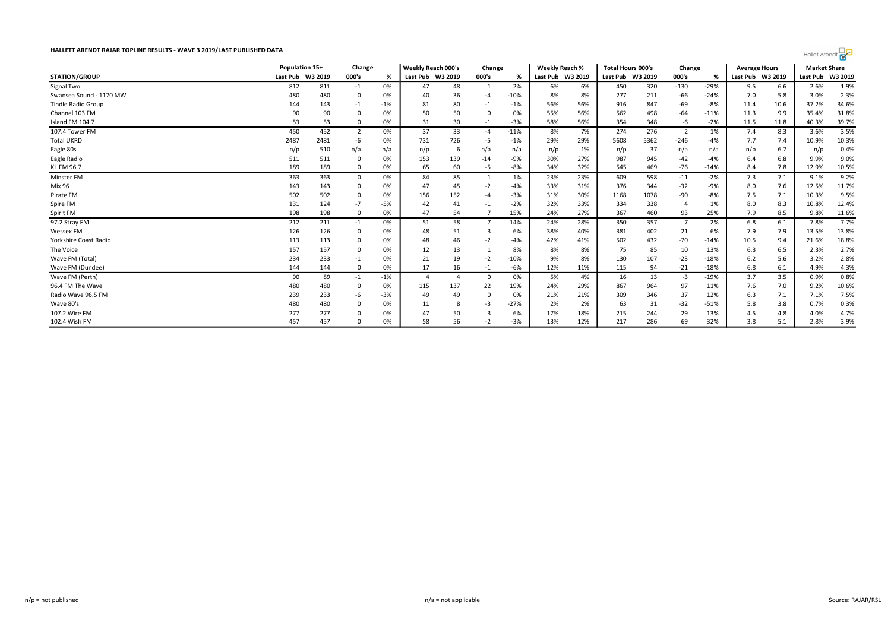| Hallet Arendt |  |
|---------------|--|
|---------------|--|

|                           | Population 15+   |      | Change         |       | <b>Weekly Reach 000's</b><br>Change |     |                | Weekly Reach %<br><b>Total Hours 000's</b> |     | Change           |                  | <b>Average Hours</b> |                | <b>Market Share</b> |                  |      |          |         |
|---------------------------|------------------|------|----------------|-------|-------------------------------------|-----|----------------|--------------------------------------------|-----|------------------|------------------|----------------------|----------------|---------------------|------------------|------|----------|---------|
| <b>STATION/GROUP</b>      | Last Pub W3 2019 |      | 000's          | %     | Last Pub W3 2019                    |     | 000's          | %                                          |     | Last Pub W3 2019 | Last Pub W3 2019 |                      | 000's          | %                   | Last Pub W3 2019 |      | Last Pub | W3 2019 |
| Signal Two                | 812              | 811  | $-1$           | 0%    | 47                                  | 48  | -1             | 2%                                         | 6%  | 6%               | 450              | 320                  | $-130$         | $-29%$              | 9.5              | 6.6  | 2.6%     | 1.9%    |
| Swansea Sound - 1170 MW   | 480              | 480  |                | 0%    | 40                                  | 36  | $-4$           | $-10%$                                     | 8%  | 8%               | 277              | 211                  | -66            | $-24%$              | 7.0              | 5.8  | 3.0%     | 2.3%    |
| <b>Tindle Radio Group</b> | 144              | 143  | $-1$           | $-1%$ | 81                                  | 80  | $-1$           | $-1%$                                      | 56% | 56%              | 916              | 847                  | $-69$          | -8%                 | 11.4             | 10.6 | 37.2%    | 34.6%   |
| Channel 103 FM            | 90               | 90   |                | 0%    | 50                                  | 50  |                | 0%                                         | 55% | 56%              | 562              | 498                  | $-64$          | $-11%$              | 11.3             | 9.9  | 35.4%    | 31.8%   |
| Island FM 104.7           | 53               | 53   | $\Omega$       | 0%    | 31                                  | 30  | $-1$           | $-3%$                                      | 58% | 56%              | 354              | 348                  | -6             | $-2%$               | 11.5             | 11.8 | 40.3%    | 39.7%   |
| 107.4 Tower FM            | 450              | 452  | $\overline{2}$ | 0%    | 37                                  | 33  | $-4$           | $-11%$                                     | 8%  | 7%               | 274              | 276                  | $\overline{2}$ | 1%                  | 7.4              | 8.3  | 3.6%     | 3.5%    |
| <b>Total UKRD</b>         | 2487             | 2481 | -6             | 0%    | 731                                 | 726 | -5             | $-1%$                                      | 29% | 29%              | 5608             | 5362                 | $-246$         | $-4%$               | 7.7              | 7.4  | 10.9%    | 10.3%   |
| Eagle 80s                 | n/p              | 510  | n/a            | n/a   | n/p                                 | 6   | n/a            | n/a                                        | n/p | 1%               | n/p              | 37                   | n/a            | n/a                 | n/p              | 6.7  | n/p      | 0.4%    |
| Eagle Radio               | 511              | 511  |                | 0%    | 153                                 | 139 | $-14$          | -9%                                        | 30% | 27%              | 987              | 945                  | $-42$          | $-4%$               | 6.4              | 6.8  | 9.9%     | 9.0%    |
| KL.FM 96.7                | 189              | 189  | $\Omega$       | 0%    | 65                                  | 60  | -5             | $-8%$                                      | 34% | 32%              | 545              | 469                  | $-76$          | $-14%$              | 8.4              | 7.8  | 12.9%    | 10.5%   |
| Minster FM                | 363              | 363  | $\Omega$       | 0%    | 84                                  | 85  |                | 1%                                         | 23% | 23%              | 609              | 598                  | $-11$          | $-2%$               | 7.3              | 7.1  | 9.1%     | 9.2%    |
| Mix 96                    | 143              | 143  | $\Omega$       | 0%    | 47                                  | 45  | $-2$           | $-4%$                                      | 33% | 31%              | 376              | 344                  | $-32$          | -9%                 | 8.0              | 7.6  | 12.5%    | 11.7%   |
| Pirate FM                 | 502              | 502  | $\Omega$       | 0%    | 156                                 | 152 | -4             | $-3%$                                      | 31% | 30%              | 1168             | 1078                 | $-90$          | $-8%$               | 7.5              | 7.1  | 10.3%    | 9.5%    |
| Spire FM                  | 131              | 124  | $-7$           | -5%   | 42                                  | 41  | $-1$           | $-2%$                                      | 32% | 33%              | 334              | 338                  |                | 1%                  | 8.0              | 8.3  | 10.8%    | 12.4%   |
| Spirit FM                 | 198              | 198  | $\Omega$       | 0%    | 47                                  | 54  | $\overline{7}$ | 15%                                        | 24% | 27%              | 367              | 460                  | 93             | 25%                 | 7.9              | 8.5  | 9.8%     | 11.6%   |
| 97.2 Stray FM             | 212              | 211  | $-1$           | 0%    | 51                                  | 58  | $\overline{7}$ | 14%                                        | 24% | 28%              | 350              | 357                  |                | 2%                  | 6.8              | 6.1  | 7.8%     | 7.7%    |
| Wessex FM                 | 126              | 126  | $\Omega$       | 0%    | 48                                  | 51  |                | 6%                                         | 38% | 40%              | 381              | 402                  | 21             | 6%                  | 7.9              | 7.9  | 13.5%    | 13.8%   |
| Yorkshire Coast Radio     | 113              | 113  | $\mathbf 0$    | 0%    | 48                                  | 46  | $-2$           | $-4%$                                      | 42% | 41%              | 502              | 432                  | $-70$          | $-14%$              | 10.5             | 9.4  | 21.6%    | 18.8%   |
| The Voice                 | 157              | 157  | $\Omega$       | 0%    | 12                                  | 13  |                | 8%                                         | 8%  | 8%               | 75               | 85                   | 10             | 13%                 | 6.3              | 6.5  | 2.3%     | 2.7%    |
| Wave FM (Total)           | 234              | 233  | $-1$           | 0%    | 21                                  | 19  | $-2$           | $-10%$                                     | 9%  | 8%               | 130              | 107                  | $-23$          | $-18%$              | 6.2              | 5.6  | 3.2%     | 2.8%    |
| Wave FM (Dundee)          | 144              | 144  | $\Omega$       | 0%    | 17                                  | 16  | $-1$           | $-6%$                                      | 12% | 11%              | 115              | 94                   | $-21$          | $-18%$              | 6.8              | 6.1  | 4.9%     | 4.3%    |
| Wave FM (Perth)           | 90               | 89   | $-1$           | $-1%$ |                                     |     | - 0            | 0%                                         | 5%  | 4%               | 16               | 13                   | -3             | $-19%$              | 3.7              | 3.5  | 0.9%     | 0.8%    |
| 96.4 FM The Wave          | 480              | 480  | $\Omega$       | 0%    | 115                                 | 137 | 22             | 19%                                        | 24% | 29%              | 867              | 964                  | 97             | 11%                 | 7.6              | 7.0  | 9.2%     | 10.6%   |
| Radio Wave 96.5 FM        | 239              | 233  | -6             | $-3%$ | 49                                  | 49  | - 0            | 0%                                         | 21% | 21%              | 309              | 346                  | 37             | 12%                 | 6.3              | 7.1  | 7.1%     | 7.5%    |
| Wave 80's                 | 480              | 480  |                | 0%    | 11                                  |     | $-3$           | $-27%$                                     | 2%  | 2%               | 63               | 31                   | $-32$          | $-51%$              | 5.8              | 3.8  | 0.7%     | 0.3%    |
| 107.2 Wire FM             | 277              | 277  |                | 0%    | $\overline{4}$                      | 50  |                | 6%                                         | 17% | 18%              | 215              | 244                  | 29             | 13%                 | 4.5              | 4.8  | 4.0%     | 4.7%    |
| 102.4 Wish FM             | 457              | 457  |                | 0%    | 58                                  | 56  |                | $-3%$                                      | 13% | 12%              | 217              | 286                  | 69             | 32%                 | 3.8              | 5.1  | 2.8%     | 3.9%    |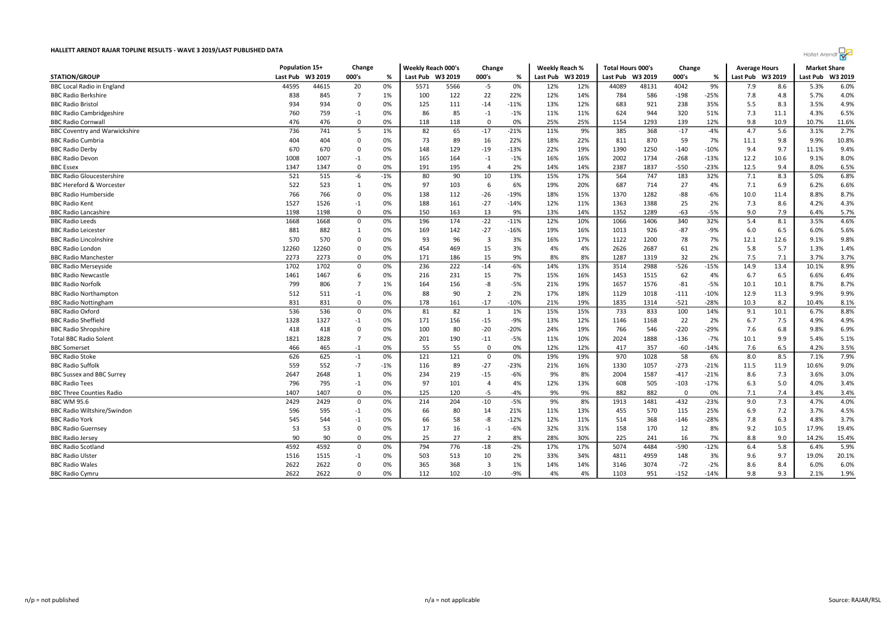| Hallet Arendt |  |
|---------------|--|
|---------------|--|

| <b>STATION/GROUP</b><br>Last Pub<br>W3 2019<br>000's<br>Last Pub<br>W3 2019<br>000's<br>Last Pub W3 2019<br>W3 2019<br>000's<br>Last Pub W3 2019<br>W3 2019<br>%<br>%<br>Last Pub<br>%<br>Last Pub<br>44595<br>6.0%<br><b>BBC Local Radio in England</b><br>44615<br>20<br>0%<br>5571<br>5566<br>$-5$<br>0%<br>12%<br>12%<br>48131<br>4042<br>9%<br>8.6<br>44089<br>7.9<br>5.3%<br>838<br>$\overline{7}$<br>122<br>22<br>22%<br>12%<br>14%<br>586<br>$-198$<br>$-25%$<br>4.8<br>4.0%<br><b>BBC Radio Berkshire</b><br>845<br>1%<br>100<br>784<br>7.8<br>5.7%<br>4.9%<br><b>BBC Radio Bristol</b><br>934<br>934<br>$\mathbf 0$<br>$-14$<br>12%<br>683<br>921<br>238<br>35%<br>8.3<br>3.5%<br>0%<br>125<br>111<br>$-11%$<br>13%<br>5.5<br>760<br>759<br>86<br>85<br>11%<br>11%<br>624<br>944<br>320<br>51%<br>7.3<br>11.1<br>4.3%<br>6.5%<br><b>BBC Radio Cambridgeshire</b><br>$-1$<br>0%<br>$-1$<br>$-1%$<br>476<br>11.6%<br><b>BBC Radio Cornwal</b><br>476<br>$\mathbf 0$<br>0%<br>118<br>118<br>$\Omega$<br>0%<br>25%<br>25%<br>1154<br>1293<br>139<br>12%<br>9.8<br>10.9<br>10.7%<br>82<br>65<br>$-17$<br>9%<br>368<br>$-17$<br>5.6<br>2.7%<br>736<br>741<br>5<br>1%<br>$-21%$<br>11%<br>385<br>4.7<br>3.1%<br><b>BBC Coventry and Warwickshire</b><br>$-4%$<br>$\Omega$<br>59<br>404<br>73<br>89<br>16<br>22%<br>870<br>7%<br>9.8<br>10.8%<br><b>BBC Radio Cumbria</b><br>404<br>0%<br>22%<br>18%<br>811<br>11.1<br>9.9%<br>670<br>22%<br>19%<br>1390<br>1250<br>$-140$<br>9.4%<br><b>BBC Radio Derby</b><br>670<br>$\Omega$<br>0%<br>148<br>129<br>$-19$<br>$-13%$<br>$-10%$<br>9.4<br>9.7<br>11.1%<br>1734<br>8.0%<br><b>BBC Radio Devon</b><br>1008<br>1007<br>165<br>164<br>16%<br>16%<br>2002<br>$-268$<br>$-13%$<br>12.2<br>10.6<br>9.1%<br>$-1$<br>0%<br>$-1$<br>$-1%$<br>6.5%<br>1347<br>$\Omega$<br>191<br>195<br>2%<br>14%<br>14%<br>2387<br>1837<br>$-550$<br>$-23%$<br>12.5<br>9.4<br>8.0%<br><b>BBC</b> Essex<br>1347<br>0%<br>$\overline{a}$<br>6.8%<br>521<br>90<br>564<br>747<br><b>BBC Radio Gloucestershire</b><br>515<br>-6<br>$-1%$<br>80<br>10<br>13%<br>15%<br>17%<br>183<br>32%<br>7.1<br>8.3<br>5.0%<br>522<br>523<br>97<br>6<br>6%<br>20%<br>687<br>27<br>6.9<br>6.6%<br><b>BBC Hereford &amp; Worcester</b><br>0%<br>103<br>19%<br>714<br>4%<br>7.1<br>6.2%<br>1<br>766<br>$-26$<br>15%<br>1282<br>$-88$<br>8.8%<br>8.7%<br><b>BBC Radio Humberside</b><br>766<br>$\Omega$<br>0%<br>138<br>112<br>$-19%$<br>18%<br>1370<br>$-6%$<br>10.0<br>11.4<br>1527<br>188<br>$-27$<br>25<br>7.3<br>4.3%<br>1526<br>$-1$<br>0%<br>161<br>12%<br>11%<br>1363<br>1388<br>2%<br>8.6<br>4.2%<br><b>BBC Radio Kent</b><br>$-14%$<br>$-63$<br>$\mathbf 0$<br>13<br>9.0<br>7.9<br>5.7%<br>1198<br>1198<br>0%<br>150<br>163<br>9%<br>13%<br>14%<br>1352<br>1289<br>$-5%$<br>6.4%<br><b>BBC Radio Lancashire</b><br>4.6%<br>1668<br>1668<br>$\mathbf 0$<br>0%<br>196<br>174<br>$-22$<br>$-11%$<br>12%<br>10%<br>1066<br>1406<br>340<br>32%<br>5.4<br>8.1<br>3.5%<br>5.6%<br>881<br>$-27$<br>926<br>$-87$<br>6.5<br><b>BBC Radio Leicester</b><br>882<br>0%<br>169<br>142<br>$-16%$<br>19%<br>16%<br>1013<br>$-9%$<br>6.0<br>6.0%<br>1<br>570<br>93<br>96<br>17%<br>1200<br>78<br>12.6<br>9.8%<br>570<br>$\mathbf 0$<br>0%<br>$\overline{\mathbf{3}}$<br>3%<br>16%<br>1122<br>7%<br>12.1<br>9.1%<br><b>BBC Radio Lincolnshire</b><br>15<br>61<br>2%<br>1.4%<br><b>BBC Radio Londor</b><br>12260<br>12260<br>$\Omega$<br>0%<br>454<br>469<br>3%<br>4%<br>4%<br>2626<br>2687<br>5.8<br>5.7<br>1.3%<br>2273<br>2273<br>15<br>9%<br>1287<br>32<br>2%<br>7.5<br>7.1<br>3.7%<br>$\mathbf 0$<br>0%<br>171<br>186<br>8%<br>8%<br>1319<br>3.7%<br><b>BBC Radio Manchester</b><br>13.4<br>8.9%<br>1702<br>1702<br>0<br>0%<br>236<br>222<br>$-14$<br>$-6%$<br>14%<br>13%<br>3514<br>2988<br>$-526$<br>$-15%$<br>14.9<br>10.1%<br><b>BBC Radio Merseyside</b><br>6<br>231<br>16%<br>62<br>6.5<br>6.4%<br><b>BBC Radio Newcastle</b><br>1461<br>1467<br>0%<br>15<br>7%<br>15%<br>1453<br>1515<br>4%<br>6.7<br>6.6%<br>216<br>$\overline{7}$<br>156<br>-8<br>$-5%$<br>19%<br>1576<br>$-81$<br>8.7%<br><b>BBC Radio Norfolk</b><br>799<br>806<br>1%<br>164<br>21%<br>1657<br>$-5%$<br>10.1<br>10.1<br>8.7%<br>$\overline{2}$<br>512<br>88<br>90<br>17%<br>12.9<br>9.9%<br><b>BBC Radio Northampton</b><br>511<br>$-1$<br>0%<br>2%<br>18%<br>1129<br>1018<br>$-111$<br>$-10%$<br>11.3<br>9.9%<br>831<br>831<br>178<br>$-17$<br>$-10%$<br>21%<br>19%<br>1835<br>1314<br>$-521$<br>$-28%$<br>10.3<br>8.2<br>8.1%<br><b>BBC Radio Nottingham</b><br>$\Omega$<br>0%<br>161<br>10.4%<br>536<br>8.8%<br>536<br>81<br>82<br>15%<br>15%<br>733<br>833<br>100<br><b>BBC Radio Oxford</b><br>$\mathbf 0$<br>0%<br>1<br>1%<br>14%<br>9.1<br>10.1<br>6.7%<br><b>BBC Radio Sheffield</b><br>1328<br>1327<br>171<br>156<br>$-15$<br>$-9%$<br>13%<br>12%<br>1168<br>22<br>2%<br>7.5<br>4.9%<br>4.9%<br>$-1$<br>0%<br>1146<br>6.7<br>$\Omega$<br>80<br>19%<br>546<br>$-220$<br>7.6<br>6.8<br>6.9%<br><b>BBC Radio Shropshire</b><br>418<br>418<br>0%<br>100<br>$-20$<br>$-20%$<br>24%<br>766<br>$-29%$<br>9.8%<br>1821<br>1888<br>$-136$<br>5.1%<br><b>Total BBC Radio Solent</b><br>1828<br>$\overline{7}$<br>0%<br>201<br>190<br>$-11$<br>$-5%$<br>11%<br>10%<br>2024<br>$-7%$<br>10.1<br>9.9<br>5.4%<br>55<br>55<br>$\Omega$<br>12%<br>357<br>$-60$<br>7.6<br>6.5<br>3.5%<br><b>BBC</b> Somerset<br>466<br>465<br>$-1$<br>0%<br>0%<br>12%<br>417<br>$-14%$<br>4.2%<br>626<br>121<br>58<br>8.5<br>7.1%<br>7.9%<br><b>BBC Radio Stoke</b><br>625<br>$-1$<br>0%<br>121<br>$\Omega$<br>0%<br>19%<br>19%<br>970<br>1028<br>6%<br>8.0<br>$-7$<br>$-27$<br>9.0%<br><b>BBC Radio Suffolk</b><br>559<br>552<br>116<br>89<br>$-23%$<br>21%<br>16%<br>1330<br>1057<br>$-273$<br>$-21%$<br>11.5<br>11.9<br>10.6%<br>$-1%$<br>3.0%<br>2647<br>2648<br>234<br>219<br>$-15$<br>9%<br>8%<br>2004<br>1587<br>$-417$<br>$-21%$<br>8.6<br>7.3<br>3.6%<br>BBC Sussex and BBC Surrey<br>1<br>0%<br>$-6%$<br>97<br>505<br>5.0<br>3.4%<br><b>BBC Radio Tees</b><br>796<br>795<br>$-1$<br>0%<br>101<br>$\overline{4}$<br>4%<br>12%<br>13%<br>608<br>$-103$<br>$-17%$<br>6.3<br>4.0%<br>9%<br>882<br>1407<br>1407<br>$\Omega$<br>0%<br>125<br>120<br>$-5$<br>$-4%$<br>9%<br>882<br>0%<br>7.1<br>7.4<br>3.4%<br><b>BBC Three Counties Radio</b><br>$\Omega$<br>3.4%<br>7.3<br>4.0%<br>2429<br>214<br>204<br>$-10$<br>$-5%$<br>9%<br>8%<br>1481<br>$-432$<br>$-23%$<br><b>BBC WM 95.6</b><br>2429<br>$\mathbf 0$<br>0%<br>1913<br>9.0<br>4.7%<br>596<br>66<br>11%<br>13%<br>115<br>7.2<br>4.5%<br><b>BBC Radio Wiltshire/Swindon</b><br>595<br>$-1$<br>80<br>14<br>455<br>570<br>25%<br>6.9<br>3.7%<br>0%<br>21%<br>58<br>$-8$<br>3.7%<br><b>BBC Radio York</b><br>545<br>0%<br>66<br>$-12%$<br>12%<br>11%<br>514<br>368<br>$-146$<br>$-28%$<br>7.8<br>6.3<br>4.8%<br>544<br>$-1$<br>53<br>53<br>17<br>16<br>$-1$<br>32%<br>31%<br>158<br>170<br>12<br>8%<br>10.5<br>19.4%<br><b>BBC Radio Guernsey</b><br>$\Omega$<br>0%<br>$-6%$<br>9.2<br>17.9%<br>90<br><b>BBC Radio Jersey</b><br>90<br>$\mathbf 0$<br>25<br>27<br>$\overline{2}$<br>8%<br>28%<br>30%<br>225<br>241<br>16<br>8.8<br>9.0<br>14.2%<br>15.4%<br>0%<br>7%<br>4592<br>776<br>17%<br>4484<br>$-590$<br>5.9%<br><b>BBC Radio Scotland</b><br>4592<br>$\mathbf 0$<br>794<br>$-18$<br>$-2%$<br>17%<br>5074<br>$-12%$<br>6.4<br>5.8<br>6.4%<br>0%<br>20.1%<br><b>BBC Radio Ulster</b><br>1516<br>1515<br>0%<br>503<br>513<br>10<br>2%<br>33%<br>34%<br>4811<br>4959<br>148<br>3%<br>9.6<br>9.7<br>19.0%<br>$-1$<br>2622<br>2622<br>368<br>$\overline{\mathbf{3}}$<br>$-72$<br>$-2%$<br>6.0%<br><b>BBC Radio Wales</b><br>$\Omega$<br>0%<br>365<br>1%<br>14%<br>14%<br>3074<br>8.6<br>8.4<br>6.0%<br>3146<br>2622<br>2622<br>951<br>9.3<br>1.9%<br>$\Omega$<br>0%<br>112<br>102<br>$-10$<br>$-9%$<br>4%<br>4%<br>1103<br>$-152$<br>$-14%$<br>9.8<br><b>BBC Radio Cymru</b><br>2.1% |                        | Population 15+ | Change |  |  | Weekly Reach 000's<br>Change |  | Weekly Reach % |  | <b>Total Hours 000's</b> |  | Change |  | <b>Average Hours</b> |  | <b>Market Share</b> |  |
|------------------------------------------------------------------------------------------------------------------------------------------------------------------------------------------------------------------------------------------------------------------------------------------------------------------------------------------------------------------------------------------------------------------------------------------------------------------------------------------------------------------------------------------------------------------------------------------------------------------------------------------------------------------------------------------------------------------------------------------------------------------------------------------------------------------------------------------------------------------------------------------------------------------------------------------------------------------------------------------------------------------------------------------------------------------------------------------------------------------------------------------------------------------------------------------------------------------------------------------------------------------------------------------------------------------------------------------------------------------------------------------------------------------------------------------------------------------------------------------------------------------------------------------------------------------------------------------------------------------------------------------------------------------------------------------------------------------------------------------------------------------------------------------------------------------------------------------------------------------------------------------------------------------------------------------------------------------------------------------------------------------------------------------------------------------------------------------------------------------------------------------------------------------------------------------------------------------------------------------------------------------------------------------------------------------------------------------------------------------------------------------------------------------------------------------------------------------------------------------------------------------------------------------------------------------------------------------------------------------------------------------------------------------------------------------------------------------------------------------------------------------------------------------------------------------------------------------------------------------------------------------------------------------------------------------------------------------------------------------------------------------------------------------------------------------------------------------------------------------------------------------------------------------------------------------------------------------------------------------------------------------------------------------------------------------------------------------------------------------------------------------------------------------------------------------------------------------------------------------------------------------------------------------------------------------------------------------------------------------------------------------------------------------------------------------------------------------------------------------------------------------------------------------------------------------------------------------------------------------------------------------------------------------------------------------------------------------------------------------------------------------------------------------------------------------------------------------------------------------------------------------------------------------------------------------------------------------------------------------------------------------------------------------------------------------------------------------------------------------------------------------------------------------------------------------------------------------------------------------------------------------------------------------------------------------------------------------------------------------------------------------------------------------------------------------------------------------------------------------------------------------------------------------------------------------------------------------------------------------------------------------------------------------------------------------------------------------------------------------------------------------------------------------------------------------------------------------------------------------------------------------------------------------------------------------------------------------------------------------------------------------------------------------------------------------------------------------------------------------------------------------------------------------------------------------------------------------------------------------------------------------------------------------------------------------------------------------------------------------------------------------------------------------------------------------------------------------------------------------------------------------------------------------------------------------------------------------------------------------------------------------------------------------------------------------------------------------------------------------------------------------------------------------------------------------------------------------------------------------------------------------------------------------------------------------------------------------------------------------------------------------------------------------------------------------------------------------------------------------------------------------------------------------------------------------------------------------------------------------------------------------------------------------------------------------------------------------------------------------------------------------------------------------------------------------------------------------------------------------------------------------------------------------------------------------------------------------------------------------------------------------------------------------------------------------------------------------------------------------------------------------------------------------------------------------------------------------------------------------------------------------------------------------------------------------------------------------------------------------------------------------------------------------------------------------------------------------------------------------------------------------------------------------------------------------------------------------------------------------------------------------------------------------------------------------------------------------------------------------------------------------------------------------------------------------------------------------------------------------------------------------------------------------------------------------------------------------------------------------------------------------------|------------------------|----------------|--------|--|--|------------------------------|--|----------------|--|--------------------------|--|--------|--|----------------------|--|---------------------|--|
|                                                                                                                                                                                                                                                                                                                                                                                                                                                                                                                                                                                                                                                                                                                                                                                                                                                                                                                                                                                                                                                                                                                                                                                                                                                                                                                                                                                                                                                                                                                                                                                                                                                                                                                                                                                                                                                                                                                                                                                                                                                                                                                                                                                                                                                                                                                                                                                                                                                                                                                                                                                                                                                                                                                                                                                                                                                                                                                                                                                                                                                                                                                                                                                                                                                                                                                                                                                                                                                                                                                                                                                                                                                                                                                                                                                                                                                                                                                                                                                                                                                                                                                                                                                                                                                                                                                                                                                                                                                                                                                                                                                                                                                                                                                                                                                                                                                                                                                                                                                                                                                                                                                                                                                                                                                                                                                                                                                                                                                                                                                                                                                                                                                                                                                                                                                                                                                                                                                                                                                                                                                                                                                                                                                                                                                                                                                                                                                                                                                                                                                                                                                                                                                                                                                                                                                                                                                                                                                                                                                                                                                                                                                                                                                                                                                                                                                                                                                                                                                                                                                                                                                                                                                                                                                                                                                                                                                                                                |                        |                |        |  |  |                              |  |                |  |                          |  |        |  |                      |  |                     |  |
|                                                                                                                                                                                                                                                                                                                                                                                                                                                                                                                                                                                                                                                                                                                                                                                                                                                                                                                                                                                                                                                                                                                                                                                                                                                                                                                                                                                                                                                                                                                                                                                                                                                                                                                                                                                                                                                                                                                                                                                                                                                                                                                                                                                                                                                                                                                                                                                                                                                                                                                                                                                                                                                                                                                                                                                                                                                                                                                                                                                                                                                                                                                                                                                                                                                                                                                                                                                                                                                                                                                                                                                                                                                                                                                                                                                                                                                                                                                                                                                                                                                                                                                                                                                                                                                                                                                                                                                                                                                                                                                                                                                                                                                                                                                                                                                                                                                                                                                                                                                                                                                                                                                                                                                                                                                                                                                                                                                                                                                                                                                                                                                                                                                                                                                                                                                                                                                                                                                                                                                                                                                                                                                                                                                                                                                                                                                                                                                                                                                                                                                                                                                                                                                                                                                                                                                                                                                                                                                                                                                                                                                                                                                                                                                                                                                                                                                                                                                                                                                                                                                                                                                                                                                                                                                                                                                                                                                                                                |                        |                |        |  |  |                              |  |                |  |                          |  |        |  |                      |  |                     |  |
|                                                                                                                                                                                                                                                                                                                                                                                                                                                                                                                                                                                                                                                                                                                                                                                                                                                                                                                                                                                                                                                                                                                                                                                                                                                                                                                                                                                                                                                                                                                                                                                                                                                                                                                                                                                                                                                                                                                                                                                                                                                                                                                                                                                                                                                                                                                                                                                                                                                                                                                                                                                                                                                                                                                                                                                                                                                                                                                                                                                                                                                                                                                                                                                                                                                                                                                                                                                                                                                                                                                                                                                                                                                                                                                                                                                                                                                                                                                                                                                                                                                                                                                                                                                                                                                                                                                                                                                                                                                                                                                                                                                                                                                                                                                                                                                                                                                                                                                                                                                                                                                                                                                                                                                                                                                                                                                                                                                                                                                                                                                                                                                                                                                                                                                                                                                                                                                                                                                                                                                                                                                                                                                                                                                                                                                                                                                                                                                                                                                                                                                                                                                                                                                                                                                                                                                                                                                                                                                                                                                                                                                                                                                                                                                                                                                                                                                                                                                                                                                                                                                                                                                                                                                                                                                                                                                                                                                                                                |                        |                |        |  |  |                              |  |                |  |                          |  |        |  |                      |  |                     |  |
|                                                                                                                                                                                                                                                                                                                                                                                                                                                                                                                                                                                                                                                                                                                                                                                                                                                                                                                                                                                                                                                                                                                                                                                                                                                                                                                                                                                                                                                                                                                                                                                                                                                                                                                                                                                                                                                                                                                                                                                                                                                                                                                                                                                                                                                                                                                                                                                                                                                                                                                                                                                                                                                                                                                                                                                                                                                                                                                                                                                                                                                                                                                                                                                                                                                                                                                                                                                                                                                                                                                                                                                                                                                                                                                                                                                                                                                                                                                                                                                                                                                                                                                                                                                                                                                                                                                                                                                                                                                                                                                                                                                                                                                                                                                                                                                                                                                                                                                                                                                                                                                                                                                                                                                                                                                                                                                                                                                                                                                                                                                                                                                                                                                                                                                                                                                                                                                                                                                                                                                                                                                                                                                                                                                                                                                                                                                                                                                                                                                                                                                                                                                                                                                                                                                                                                                                                                                                                                                                                                                                                                                                                                                                                                                                                                                                                                                                                                                                                                                                                                                                                                                                                                                                                                                                                                                                                                                                                                |                        |                |        |  |  |                              |  |                |  |                          |  |        |  |                      |  |                     |  |
|                                                                                                                                                                                                                                                                                                                                                                                                                                                                                                                                                                                                                                                                                                                                                                                                                                                                                                                                                                                                                                                                                                                                                                                                                                                                                                                                                                                                                                                                                                                                                                                                                                                                                                                                                                                                                                                                                                                                                                                                                                                                                                                                                                                                                                                                                                                                                                                                                                                                                                                                                                                                                                                                                                                                                                                                                                                                                                                                                                                                                                                                                                                                                                                                                                                                                                                                                                                                                                                                                                                                                                                                                                                                                                                                                                                                                                                                                                                                                                                                                                                                                                                                                                                                                                                                                                                                                                                                                                                                                                                                                                                                                                                                                                                                                                                                                                                                                                                                                                                                                                                                                                                                                                                                                                                                                                                                                                                                                                                                                                                                                                                                                                                                                                                                                                                                                                                                                                                                                                                                                                                                                                                                                                                                                                                                                                                                                                                                                                                                                                                                                                                                                                                                                                                                                                                                                                                                                                                                                                                                                                                                                                                                                                                                                                                                                                                                                                                                                                                                                                                                                                                                                                                                                                                                                                                                                                                                                                |                        |                |        |  |  |                              |  |                |  |                          |  |        |  |                      |  |                     |  |
|                                                                                                                                                                                                                                                                                                                                                                                                                                                                                                                                                                                                                                                                                                                                                                                                                                                                                                                                                                                                                                                                                                                                                                                                                                                                                                                                                                                                                                                                                                                                                                                                                                                                                                                                                                                                                                                                                                                                                                                                                                                                                                                                                                                                                                                                                                                                                                                                                                                                                                                                                                                                                                                                                                                                                                                                                                                                                                                                                                                                                                                                                                                                                                                                                                                                                                                                                                                                                                                                                                                                                                                                                                                                                                                                                                                                                                                                                                                                                                                                                                                                                                                                                                                                                                                                                                                                                                                                                                                                                                                                                                                                                                                                                                                                                                                                                                                                                                                                                                                                                                                                                                                                                                                                                                                                                                                                                                                                                                                                                                                                                                                                                                                                                                                                                                                                                                                                                                                                                                                                                                                                                                                                                                                                                                                                                                                                                                                                                                                                                                                                                                                                                                                                                                                                                                                                                                                                                                                                                                                                                                                                                                                                                                                                                                                                                                                                                                                                                                                                                                                                                                                                                                                                                                                                                                                                                                                                                                |                        |                |        |  |  |                              |  |                |  |                          |  |        |  |                      |  |                     |  |
|                                                                                                                                                                                                                                                                                                                                                                                                                                                                                                                                                                                                                                                                                                                                                                                                                                                                                                                                                                                                                                                                                                                                                                                                                                                                                                                                                                                                                                                                                                                                                                                                                                                                                                                                                                                                                                                                                                                                                                                                                                                                                                                                                                                                                                                                                                                                                                                                                                                                                                                                                                                                                                                                                                                                                                                                                                                                                                                                                                                                                                                                                                                                                                                                                                                                                                                                                                                                                                                                                                                                                                                                                                                                                                                                                                                                                                                                                                                                                                                                                                                                                                                                                                                                                                                                                                                                                                                                                                                                                                                                                                                                                                                                                                                                                                                                                                                                                                                                                                                                                                                                                                                                                                                                                                                                                                                                                                                                                                                                                                                                                                                                                                                                                                                                                                                                                                                                                                                                                                                                                                                                                                                                                                                                                                                                                                                                                                                                                                                                                                                                                                                                                                                                                                                                                                                                                                                                                                                                                                                                                                                                                                                                                                                                                                                                                                                                                                                                                                                                                                                                                                                                                                                                                                                                                                                                                                                                                                |                        |                |        |  |  |                              |  |                |  |                          |  |        |  |                      |  |                     |  |
|                                                                                                                                                                                                                                                                                                                                                                                                                                                                                                                                                                                                                                                                                                                                                                                                                                                                                                                                                                                                                                                                                                                                                                                                                                                                                                                                                                                                                                                                                                                                                                                                                                                                                                                                                                                                                                                                                                                                                                                                                                                                                                                                                                                                                                                                                                                                                                                                                                                                                                                                                                                                                                                                                                                                                                                                                                                                                                                                                                                                                                                                                                                                                                                                                                                                                                                                                                                                                                                                                                                                                                                                                                                                                                                                                                                                                                                                                                                                                                                                                                                                                                                                                                                                                                                                                                                                                                                                                                                                                                                                                                                                                                                                                                                                                                                                                                                                                                                                                                                                                                                                                                                                                                                                                                                                                                                                                                                                                                                                                                                                                                                                                                                                                                                                                                                                                                                                                                                                                                                                                                                                                                                                                                                                                                                                                                                                                                                                                                                                                                                                                                                                                                                                                                                                                                                                                                                                                                                                                                                                                                                                                                                                                                                                                                                                                                                                                                                                                                                                                                                                                                                                                                                                                                                                                                                                                                                                                                |                        |                |        |  |  |                              |  |                |  |                          |  |        |  |                      |  |                     |  |
|                                                                                                                                                                                                                                                                                                                                                                                                                                                                                                                                                                                                                                                                                                                                                                                                                                                                                                                                                                                                                                                                                                                                                                                                                                                                                                                                                                                                                                                                                                                                                                                                                                                                                                                                                                                                                                                                                                                                                                                                                                                                                                                                                                                                                                                                                                                                                                                                                                                                                                                                                                                                                                                                                                                                                                                                                                                                                                                                                                                                                                                                                                                                                                                                                                                                                                                                                                                                                                                                                                                                                                                                                                                                                                                                                                                                                                                                                                                                                                                                                                                                                                                                                                                                                                                                                                                                                                                                                                                                                                                                                                                                                                                                                                                                                                                                                                                                                                                                                                                                                                                                                                                                                                                                                                                                                                                                                                                                                                                                                                                                                                                                                                                                                                                                                                                                                                                                                                                                                                                                                                                                                                                                                                                                                                                                                                                                                                                                                                                                                                                                                                                                                                                                                                                                                                                                                                                                                                                                                                                                                                                                                                                                                                                                                                                                                                                                                                                                                                                                                                                                                                                                                                                                                                                                                                                                                                                                                                |                        |                |        |  |  |                              |  |                |  |                          |  |        |  |                      |  |                     |  |
|                                                                                                                                                                                                                                                                                                                                                                                                                                                                                                                                                                                                                                                                                                                                                                                                                                                                                                                                                                                                                                                                                                                                                                                                                                                                                                                                                                                                                                                                                                                                                                                                                                                                                                                                                                                                                                                                                                                                                                                                                                                                                                                                                                                                                                                                                                                                                                                                                                                                                                                                                                                                                                                                                                                                                                                                                                                                                                                                                                                                                                                                                                                                                                                                                                                                                                                                                                                                                                                                                                                                                                                                                                                                                                                                                                                                                                                                                                                                                                                                                                                                                                                                                                                                                                                                                                                                                                                                                                                                                                                                                                                                                                                                                                                                                                                                                                                                                                                                                                                                                                                                                                                                                                                                                                                                                                                                                                                                                                                                                                                                                                                                                                                                                                                                                                                                                                                                                                                                                                                                                                                                                                                                                                                                                                                                                                                                                                                                                                                                                                                                                                                                                                                                                                                                                                                                                                                                                                                                                                                                                                                                                                                                                                                                                                                                                                                                                                                                                                                                                                                                                                                                                                                                                                                                                                                                                                                                                                |                        |                |        |  |  |                              |  |                |  |                          |  |        |  |                      |  |                     |  |
|                                                                                                                                                                                                                                                                                                                                                                                                                                                                                                                                                                                                                                                                                                                                                                                                                                                                                                                                                                                                                                                                                                                                                                                                                                                                                                                                                                                                                                                                                                                                                                                                                                                                                                                                                                                                                                                                                                                                                                                                                                                                                                                                                                                                                                                                                                                                                                                                                                                                                                                                                                                                                                                                                                                                                                                                                                                                                                                                                                                                                                                                                                                                                                                                                                                                                                                                                                                                                                                                                                                                                                                                                                                                                                                                                                                                                                                                                                                                                                                                                                                                                                                                                                                                                                                                                                                                                                                                                                                                                                                                                                                                                                                                                                                                                                                                                                                                                                                                                                                                                                                                                                                                                                                                                                                                                                                                                                                                                                                                                                                                                                                                                                                                                                                                                                                                                                                                                                                                                                                                                                                                                                                                                                                                                                                                                                                                                                                                                                                                                                                                                                                                                                                                                                                                                                                                                                                                                                                                                                                                                                                                                                                                                                                                                                                                                                                                                                                                                                                                                                                                                                                                                                                                                                                                                                                                                                                                                                |                        |                |        |  |  |                              |  |                |  |                          |  |        |  |                      |  |                     |  |
|                                                                                                                                                                                                                                                                                                                                                                                                                                                                                                                                                                                                                                                                                                                                                                                                                                                                                                                                                                                                                                                                                                                                                                                                                                                                                                                                                                                                                                                                                                                                                                                                                                                                                                                                                                                                                                                                                                                                                                                                                                                                                                                                                                                                                                                                                                                                                                                                                                                                                                                                                                                                                                                                                                                                                                                                                                                                                                                                                                                                                                                                                                                                                                                                                                                                                                                                                                                                                                                                                                                                                                                                                                                                                                                                                                                                                                                                                                                                                                                                                                                                                                                                                                                                                                                                                                                                                                                                                                                                                                                                                                                                                                                                                                                                                                                                                                                                                                                                                                                                                                                                                                                                                                                                                                                                                                                                                                                                                                                                                                                                                                                                                                                                                                                                                                                                                                                                                                                                                                                                                                                                                                                                                                                                                                                                                                                                                                                                                                                                                                                                                                                                                                                                                                                                                                                                                                                                                                                                                                                                                                                                                                                                                                                                                                                                                                                                                                                                                                                                                                                                                                                                                                                                                                                                                                                                                                                                                                |                        |                |        |  |  |                              |  |                |  |                          |  |        |  |                      |  |                     |  |
|                                                                                                                                                                                                                                                                                                                                                                                                                                                                                                                                                                                                                                                                                                                                                                                                                                                                                                                                                                                                                                                                                                                                                                                                                                                                                                                                                                                                                                                                                                                                                                                                                                                                                                                                                                                                                                                                                                                                                                                                                                                                                                                                                                                                                                                                                                                                                                                                                                                                                                                                                                                                                                                                                                                                                                                                                                                                                                                                                                                                                                                                                                                                                                                                                                                                                                                                                                                                                                                                                                                                                                                                                                                                                                                                                                                                                                                                                                                                                                                                                                                                                                                                                                                                                                                                                                                                                                                                                                                                                                                                                                                                                                                                                                                                                                                                                                                                                                                                                                                                                                                                                                                                                                                                                                                                                                                                                                                                                                                                                                                                                                                                                                                                                                                                                                                                                                                                                                                                                                                                                                                                                                                                                                                                                                                                                                                                                                                                                                                                                                                                                                                                                                                                                                                                                                                                                                                                                                                                                                                                                                                                                                                                                                                                                                                                                                                                                                                                                                                                                                                                                                                                                                                                                                                                                                                                                                                                                                |                        |                |        |  |  |                              |  |                |  |                          |  |        |  |                      |  |                     |  |
|                                                                                                                                                                                                                                                                                                                                                                                                                                                                                                                                                                                                                                                                                                                                                                                                                                                                                                                                                                                                                                                                                                                                                                                                                                                                                                                                                                                                                                                                                                                                                                                                                                                                                                                                                                                                                                                                                                                                                                                                                                                                                                                                                                                                                                                                                                                                                                                                                                                                                                                                                                                                                                                                                                                                                                                                                                                                                                                                                                                                                                                                                                                                                                                                                                                                                                                                                                                                                                                                                                                                                                                                                                                                                                                                                                                                                                                                                                                                                                                                                                                                                                                                                                                                                                                                                                                                                                                                                                                                                                                                                                                                                                                                                                                                                                                                                                                                                                                                                                                                                                                                                                                                                                                                                                                                                                                                                                                                                                                                                                                                                                                                                                                                                                                                                                                                                                                                                                                                                                                                                                                                                                                                                                                                                                                                                                                                                                                                                                                                                                                                                                                                                                                                                                                                                                                                                                                                                                                                                                                                                                                                                                                                                                                                                                                                                                                                                                                                                                                                                                                                                                                                                                                                                                                                                                                                                                                                                                |                        |                |        |  |  |                              |  |                |  |                          |  |        |  |                      |  |                     |  |
|                                                                                                                                                                                                                                                                                                                                                                                                                                                                                                                                                                                                                                                                                                                                                                                                                                                                                                                                                                                                                                                                                                                                                                                                                                                                                                                                                                                                                                                                                                                                                                                                                                                                                                                                                                                                                                                                                                                                                                                                                                                                                                                                                                                                                                                                                                                                                                                                                                                                                                                                                                                                                                                                                                                                                                                                                                                                                                                                                                                                                                                                                                                                                                                                                                                                                                                                                                                                                                                                                                                                                                                                                                                                                                                                                                                                                                                                                                                                                                                                                                                                                                                                                                                                                                                                                                                                                                                                                                                                                                                                                                                                                                                                                                                                                                                                                                                                                                                                                                                                                                                                                                                                                                                                                                                                                                                                                                                                                                                                                                                                                                                                                                                                                                                                                                                                                                                                                                                                                                                                                                                                                                                                                                                                                                                                                                                                                                                                                                                                                                                                                                                                                                                                                                                                                                                                                                                                                                                                                                                                                                                                                                                                                                                                                                                                                                                                                                                                                                                                                                                                                                                                                                                                                                                                                                                                                                                                                                |                        |                |        |  |  |                              |  |                |  |                          |  |        |  |                      |  |                     |  |
|                                                                                                                                                                                                                                                                                                                                                                                                                                                                                                                                                                                                                                                                                                                                                                                                                                                                                                                                                                                                                                                                                                                                                                                                                                                                                                                                                                                                                                                                                                                                                                                                                                                                                                                                                                                                                                                                                                                                                                                                                                                                                                                                                                                                                                                                                                                                                                                                                                                                                                                                                                                                                                                                                                                                                                                                                                                                                                                                                                                                                                                                                                                                                                                                                                                                                                                                                                                                                                                                                                                                                                                                                                                                                                                                                                                                                                                                                                                                                                                                                                                                                                                                                                                                                                                                                                                                                                                                                                                                                                                                                                                                                                                                                                                                                                                                                                                                                                                                                                                                                                                                                                                                                                                                                                                                                                                                                                                                                                                                                                                                                                                                                                                                                                                                                                                                                                                                                                                                                                                                                                                                                                                                                                                                                                                                                                                                                                                                                                                                                                                                                                                                                                                                                                                                                                                                                                                                                                                                                                                                                                                                                                                                                                                                                                                                                                                                                                                                                                                                                                                                                                                                                                                                                                                                                                                                                                                                                                |                        |                |        |  |  |                              |  |                |  |                          |  |        |  |                      |  |                     |  |
|                                                                                                                                                                                                                                                                                                                                                                                                                                                                                                                                                                                                                                                                                                                                                                                                                                                                                                                                                                                                                                                                                                                                                                                                                                                                                                                                                                                                                                                                                                                                                                                                                                                                                                                                                                                                                                                                                                                                                                                                                                                                                                                                                                                                                                                                                                                                                                                                                                                                                                                                                                                                                                                                                                                                                                                                                                                                                                                                                                                                                                                                                                                                                                                                                                                                                                                                                                                                                                                                                                                                                                                                                                                                                                                                                                                                                                                                                                                                                                                                                                                                                                                                                                                                                                                                                                                                                                                                                                                                                                                                                                                                                                                                                                                                                                                                                                                                                                                                                                                                                                                                                                                                                                                                                                                                                                                                                                                                                                                                                                                                                                                                                                                                                                                                                                                                                                                                                                                                                                                                                                                                                                                                                                                                                                                                                                                                                                                                                                                                                                                                                                                                                                                                                                                                                                                                                                                                                                                                                                                                                                                                                                                                                                                                                                                                                                                                                                                                                                                                                                                                                                                                                                                                                                                                                                                                                                                                                                | <b>BBC Radio Leeds</b> |                |        |  |  |                              |  |                |  |                          |  |        |  |                      |  |                     |  |
|                                                                                                                                                                                                                                                                                                                                                                                                                                                                                                                                                                                                                                                                                                                                                                                                                                                                                                                                                                                                                                                                                                                                                                                                                                                                                                                                                                                                                                                                                                                                                                                                                                                                                                                                                                                                                                                                                                                                                                                                                                                                                                                                                                                                                                                                                                                                                                                                                                                                                                                                                                                                                                                                                                                                                                                                                                                                                                                                                                                                                                                                                                                                                                                                                                                                                                                                                                                                                                                                                                                                                                                                                                                                                                                                                                                                                                                                                                                                                                                                                                                                                                                                                                                                                                                                                                                                                                                                                                                                                                                                                                                                                                                                                                                                                                                                                                                                                                                                                                                                                                                                                                                                                                                                                                                                                                                                                                                                                                                                                                                                                                                                                                                                                                                                                                                                                                                                                                                                                                                                                                                                                                                                                                                                                                                                                                                                                                                                                                                                                                                                                                                                                                                                                                                                                                                                                                                                                                                                                                                                                                                                                                                                                                                                                                                                                                                                                                                                                                                                                                                                                                                                                                                                                                                                                                                                                                                                                                |                        |                |        |  |  |                              |  |                |  |                          |  |        |  |                      |  |                     |  |
|                                                                                                                                                                                                                                                                                                                                                                                                                                                                                                                                                                                                                                                                                                                                                                                                                                                                                                                                                                                                                                                                                                                                                                                                                                                                                                                                                                                                                                                                                                                                                                                                                                                                                                                                                                                                                                                                                                                                                                                                                                                                                                                                                                                                                                                                                                                                                                                                                                                                                                                                                                                                                                                                                                                                                                                                                                                                                                                                                                                                                                                                                                                                                                                                                                                                                                                                                                                                                                                                                                                                                                                                                                                                                                                                                                                                                                                                                                                                                                                                                                                                                                                                                                                                                                                                                                                                                                                                                                                                                                                                                                                                                                                                                                                                                                                                                                                                                                                                                                                                                                                                                                                                                                                                                                                                                                                                                                                                                                                                                                                                                                                                                                                                                                                                                                                                                                                                                                                                                                                                                                                                                                                                                                                                                                                                                                                                                                                                                                                                                                                                                                                                                                                                                                                                                                                                                                                                                                                                                                                                                                                                                                                                                                                                                                                                                                                                                                                                                                                                                                                                                                                                                                                                                                                                                                                                                                                                                                |                        |                |        |  |  |                              |  |                |  |                          |  |        |  |                      |  |                     |  |
|                                                                                                                                                                                                                                                                                                                                                                                                                                                                                                                                                                                                                                                                                                                                                                                                                                                                                                                                                                                                                                                                                                                                                                                                                                                                                                                                                                                                                                                                                                                                                                                                                                                                                                                                                                                                                                                                                                                                                                                                                                                                                                                                                                                                                                                                                                                                                                                                                                                                                                                                                                                                                                                                                                                                                                                                                                                                                                                                                                                                                                                                                                                                                                                                                                                                                                                                                                                                                                                                                                                                                                                                                                                                                                                                                                                                                                                                                                                                                                                                                                                                                                                                                                                                                                                                                                                                                                                                                                                                                                                                                                                                                                                                                                                                                                                                                                                                                                                                                                                                                                                                                                                                                                                                                                                                                                                                                                                                                                                                                                                                                                                                                                                                                                                                                                                                                                                                                                                                                                                                                                                                                                                                                                                                                                                                                                                                                                                                                                                                                                                                                                                                                                                                                                                                                                                                                                                                                                                                                                                                                                                                                                                                                                                                                                                                                                                                                                                                                                                                                                                                                                                                                                                                                                                                                                                                                                                                                                |                        |                |        |  |  |                              |  |                |  |                          |  |        |  |                      |  |                     |  |
|                                                                                                                                                                                                                                                                                                                                                                                                                                                                                                                                                                                                                                                                                                                                                                                                                                                                                                                                                                                                                                                                                                                                                                                                                                                                                                                                                                                                                                                                                                                                                                                                                                                                                                                                                                                                                                                                                                                                                                                                                                                                                                                                                                                                                                                                                                                                                                                                                                                                                                                                                                                                                                                                                                                                                                                                                                                                                                                                                                                                                                                                                                                                                                                                                                                                                                                                                                                                                                                                                                                                                                                                                                                                                                                                                                                                                                                                                                                                                                                                                                                                                                                                                                                                                                                                                                                                                                                                                                                                                                                                                                                                                                                                                                                                                                                                                                                                                                                                                                                                                                                                                                                                                                                                                                                                                                                                                                                                                                                                                                                                                                                                                                                                                                                                                                                                                                                                                                                                                                                                                                                                                                                                                                                                                                                                                                                                                                                                                                                                                                                                                                                                                                                                                                                                                                                                                                                                                                                                                                                                                                                                                                                                                                                                                                                                                                                                                                                                                                                                                                                                                                                                                                                                                                                                                                                                                                                                                                |                        |                |        |  |  |                              |  |                |  |                          |  |        |  |                      |  |                     |  |
|                                                                                                                                                                                                                                                                                                                                                                                                                                                                                                                                                                                                                                                                                                                                                                                                                                                                                                                                                                                                                                                                                                                                                                                                                                                                                                                                                                                                                                                                                                                                                                                                                                                                                                                                                                                                                                                                                                                                                                                                                                                                                                                                                                                                                                                                                                                                                                                                                                                                                                                                                                                                                                                                                                                                                                                                                                                                                                                                                                                                                                                                                                                                                                                                                                                                                                                                                                                                                                                                                                                                                                                                                                                                                                                                                                                                                                                                                                                                                                                                                                                                                                                                                                                                                                                                                                                                                                                                                                                                                                                                                                                                                                                                                                                                                                                                                                                                                                                                                                                                                                                                                                                                                                                                                                                                                                                                                                                                                                                                                                                                                                                                                                                                                                                                                                                                                                                                                                                                                                                                                                                                                                                                                                                                                                                                                                                                                                                                                                                                                                                                                                                                                                                                                                                                                                                                                                                                                                                                                                                                                                                                                                                                                                                                                                                                                                                                                                                                                                                                                                                                                                                                                                                                                                                                                                                                                                                                                                |                        |                |        |  |  |                              |  |                |  |                          |  |        |  |                      |  |                     |  |
|                                                                                                                                                                                                                                                                                                                                                                                                                                                                                                                                                                                                                                                                                                                                                                                                                                                                                                                                                                                                                                                                                                                                                                                                                                                                                                                                                                                                                                                                                                                                                                                                                                                                                                                                                                                                                                                                                                                                                                                                                                                                                                                                                                                                                                                                                                                                                                                                                                                                                                                                                                                                                                                                                                                                                                                                                                                                                                                                                                                                                                                                                                                                                                                                                                                                                                                                                                                                                                                                                                                                                                                                                                                                                                                                                                                                                                                                                                                                                                                                                                                                                                                                                                                                                                                                                                                                                                                                                                                                                                                                                                                                                                                                                                                                                                                                                                                                                                                                                                                                                                                                                                                                                                                                                                                                                                                                                                                                                                                                                                                                                                                                                                                                                                                                                                                                                                                                                                                                                                                                                                                                                                                                                                                                                                                                                                                                                                                                                                                                                                                                                                                                                                                                                                                                                                                                                                                                                                                                                                                                                                                                                                                                                                                                                                                                                                                                                                                                                                                                                                                                                                                                                                                                                                                                                                                                                                                                                                |                        |                |        |  |  |                              |  |                |  |                          |  |        |  |                      |  |                     |  |
|                                                                                                                                                                                                                                                                                                                                                                                                                                                                                                                                                                                                                                                                                                                                                                                                                                                                                                                                                                                                                                                                                                                                                                                                                                                                                                                                                                                                                                                                                                                                                                                                                                                                                                                                                                                                                                                                                                                                                                                                                                                                                                                                                                                                                                                                                                                                                                                                                                                                                                                                                                                                                                                                                                                                                                                                                                                                                                                                                                                                                                                                                                                                                                                                                                                                                                                                                                                                                                                                                                                                                                                                                                                                                                                                                                                                                                                                                                                                                                                                                                                                                                                                                                                                                                                                                                                                                                                                                                                                                                                                                                                                                                                                                                                                                                                                                                                                                                                                                                                                                                                                                                                                                                                                                                                                                                                                                                                                                                                                                                                                                                                                                                                                                                                                                                                                                                                                                                                                                                                                                                                                                                                                                                                                                                                                                                                                                                                                                                                                                                                                                                                                                                                                                                                                                                                                                                                                                                                                                                                                                                                                                                                                                                                                                                                                                                                                                                                                                                                                                                                                                                                                                                                                                                                                                                                                                                                                                                |                        |                |        |  |  |                              |  |                |  |                          |  |        |  |                      |  |                     |  |
|                                                                                                                                                                                                                                                                                                                                                                                                                                                                                                                                                                                                                                                                                                                                                                                                                                                                                                                                                                                                                                                                                                                                                                                                                                                                                                                                                                                                                                                                                                                                                                                                                                                                                                                                                                                                                                                                                                                                                                                                                                                                                                                                                                                                                                                                                                                                                                                                                                                                                                                                                                                                                                                                                                                                                                                                                                                                                                                                                                                                                                                                                                                                                                                                                                                                                                                                                                                                                                                                                                                                                                                                                                                                                                                                                                                                                                                                                                                                                                                                                                                                                                                                                                                                                                                                                                                                                                                                                                                                                                                                                                                                                                                                                                                                                                                                                                                                                                                                                                                                                                                                                                                                                                                                                                                                                                                                                                                                                                                                                                                                                                                                                                                                                                                                                                                                                                                                                                                                                                                                                                                                                                                                                                                                                                                                                                                                                                                                                                                                                                                                                                                                                                                                                                                                                                                                                                                                                                                                                                                                                                                                                                                                                                                                                                                                                                                                                                                                                                                                                                                                                                                                                                                                                                                                                                                                                                                                                                |                        |                |        |  |  |                              |  |                |  |                          |  |        |  |                      |  |                     |  |
|                                                                                                                                                                                                                                                                                                                                                                                                                                                                                                                                                                                                                                                                                                                                                                                                                                                                                                                                                                                                                                                                                                                                                                                                                                                                                                                                                                                                                                                                                                                                                                                                                                                                                                                                                                                                                                                                                                                                                                                                                                                                                                                                                                                                                                                                                                                                                                                                                                                                                                                                                                                                                                                                                                                                                                                                                                                                                                                                                                                                                                                                                                                                                                                                                                                                                                                                                                                                                                                                                                                                                                                                                                                                                                                                                                                                                                                                                                                                                                                                                                                                                                                                                                                                                                                                                                                                                                                                                                                                                                                                                                                                                                                                                                                                                                                                                                                                                                                                                                                                                                                                                                                                                                                                                                                                                                                                                                                                                                                                                                                                                                                                                                                                                                                                                                                                                                                                                                                                                                                                                                                                                                                                                                                                                                                                                                                                                                                                                                                                                                                                                                                                                                                                                                                                                                                                                                                                                                                                                                                                                                                                                                                                                                                                                                                                                                                                                                                                                                                                                                                                                                                                                                                                                                                                                                                                                                                                                                |                        |                |        |  |  |                              |  |                |  |                          |  |        |  |                      |  |                     |  |
|                                                                                                                                                                                                                                                                                                                                                                                                                                                                                                                                                                                                                                                                                                                                                                                                                                                                                                                                                                                                                                                                                                                                                                                                                                                                                                                                                                                                                                                                                                                                                                                                                                                                                                                                                                                                                                                                                                                                                                                                                                                                                                                                                                                                                                                                                                                                                                                                                                                                                                                                                                                                                                                                                                                                                                                                                                                                                                                                                                                                                                                                                                                                                                                                                                                                                                                                                                                                                                                                                                                                                                                                                                                                                                                                                                                                                                                                                                                                                                                                                                                                                                                                                                                                                                                                                                                                                                                                                                                                                                                                                                                                                                                                                                                                                                                                                                                                                                                                                                                                                                                                                                                                                                                                                                                                                                                                                                                                                                                                                                                                                                                                                                                                                                                                                                                                                                                                                                                                                                                                                                                                                                                                                                                                                                                                                                                                                                                                                                                                                                                                                                                                                                                                                                                                                                                                                                                                                                                                                                                                                                                                                                                                                                                                                                                                                                                                                                                                                                                                                                                                                                                                                                                                                                                                                                                                                                                                                                |                        |                |        |  |  |                              |  |                |  |                          |  |        |  |                      |  |                     |  |
|                                                                                                                                                                                                                                                                                                                                                                                                                                                                                                                                                                                                                                                                                                                                                                                                                                                                                                                                                                                                                                                                                                                                                                                                                                                                                                                                                                                                                                                                                                                                                                                                                                                                                                                                                                                                                                                                                                                                                                                                                                                                                                                                                                                                                                                                                                                                                                                                                                                                                                                                                                                                                                                                                                                                                                                                                                                                                                                                                                                                                                                                                                                                                                                                                                                                                                                                                                                                                                                                                                                                                                                                                                                                                                                                                                                                                                                                                                                                                                                                                                                                                                                                                                                                                                                                                                                                                                                                                                                                                                                                                                                                                                                                                                                                                                                                                                                                                                                                                                                                                                                                                                                                                                                                                                                                                                                                                                                                                                                                                                                                                                                                                                                                                                                                                                                                                                                                                                                                                                                                                                                                                                                                                                                                                                                                                                                                                                                                                                                                                                                                                                                                                                                                                                                                                                                                                                                                                                                                                                                                                                                                                                                                                                                                                                                                                                                                                                                                                                                                                                                                                                                                                                                                                                                                                                                                                                                                                                |                        |                |        |  |  |                              |  |                |  |                          |  |        |  |                      |  |                     |  |
|                                                                                                                                                                                                                                                                                                                                                                                                                                                                                                                                                                                                                                                                                                                                                                                                                                                                                                                                                                                                                                                                                                                                                                                                                                                                                                                                                                                                                                                                                                                                                                                                                                                                                                                                                                                                                                                                                                                                                                                                                                                                                                                                                                                                                                                                                                                                                                                                                                                                                                                                                                                                                                                                                                                                                                                                                                                                                                                                                                                                                                                                                                                                                                                                                                                                                                                                                                                                                                                                                                                                                                                                                                                                                                                                                                                                                                                                                                                                                                                                                                                                                                                                                                                                                                                                                                                                                                                                                                                                                                                                                                                                                                                                                                                                                                                                                                                                                                                                                                                                                                                                                                                                                                                                                                                                                                                                                                                                                                                                                                                                                                                                                                                                                                                                                                                                                                                                                                                                                                                                                                                                                                                                                                                                                                                                                                                                                                                                                                                                                                                                                                                                                                                                                                                                                                                                                                                                                                                                                                                                                                                                                                                                                                                                                                                                                                                                                                                                                                                                                                                                                                                                                                                                                                                                                                                                                                                                                                |                        |                |        |  |  |                              |  |                |  |                          |  |        |  |                      |  |                     |  |
|                                                                                                                                                                                                                                                                                                                                                                                                                                                                                                                                                                                                                                                                                                                                                                                                                                                                                                                                                                                                                                                                                                                                                                                                                                                                                                                                                                                                                                                                                                                                                                                                                                                                                                                                                                                                                                                                                                                                                                                                                                                                                                                                                                                                                                                                                                                                                                                                                                                                                                                                                                                                                                                                                                                                                                                                                                                                                                                                                                                                                                                                                                                                                                                                                                                                                                                                                                                                                                                                                                                                                                                                                                                                                                                                                                                                                                                                                                                                                                                                                                                                                                                                                                                                                                                                                                                                                                                                                                                                                                                                                                                                                                                                                                                                                                                                                                                                                                                                                                                                                                                                                                                                                                                                                                                                                                                                                                                                                                                                                                                                                                                                                                                                                                                                                                                                                                                                                                                                                                                                                                                                                                                                                                                                                                                                                                                                                                                                                                                                                                                                                                                                                                                                                                                                                                                                                                                                                                                                                                                                                                                                                                                                                                                                                                                                                                                                                                                                                                                                                                                                                                                                                                                                                                                                                                                                                                                                                                |                        |                |        |  |  |                              |  |                |  |                          |  |        |  |                      |  |                     |  |
|                                                                                                                                                                                                                                                                                                                                                                                                                                                                                                                                                                                                                                                                                                                                                                                                                                                                                                                                                                                                                                                                                                                                                                                                                                                                                                                                                                                                                                                                                                                                                                                                                                                                                                                                                                                                                                                                                                                                                                                                                                                                                                                                                                                                                                                                                                                                                                                                                                                                                                                                                                                                                                                                                                                                                                                                                                                                                                                                                                                                                                                                                                                                                                                                                                                                                                                                                                                                                                                                                                                                                                                                                                                                                                                                                                                                                                                                                                                                                                                                                                                                                                                                                                                                                                                                                                                                                                                                                                                                                                                                                                                                                                                                                                                                                                                                                                                                                                                                                                                                                                                                                                                                                                                                                                                                                                                                                                                                                                                                                                                                                                                                                                                                                                                                                                                                                                                                                                                                                                                                                                                                                                                                                                                                                                                                                                                                                                                                                                                                                                                                                                                                                                                                                                                                                                                                                                                                                                                                                                                                                                                                                                                                                                                                                                                                                                                                                                                                                                                                                                                                                                                                                                                                                                                                                                                                                                                                                                |                        |                |        |  |  |                              |  |                |  |                          |  |        |  |                      |  |                     |  |
|                                                                                                                                                                                                                                                                                                                                                                                                                                                                                                                                                                                                                                                                                                                                                                                                                                                                                                                                                                                                                                                                                                                                                                                                                                                                                                                                                                                                                                                                                                                                                                                                                                                                                                                                                                                                                                                                                                                                                                                                                                                                                                                                                                                                                                                                                                                                                                                                                                                                                                                                                                                                                                                                                                                                                                                                                                                                                                                                                                                                                                                                                                                                                                                                                                                                                                                                                                                                                                                                                                                                                                                                                                                                                                                                                                                                                                                                                                                                                                                                                                                                                                                                                                                                                                                                                                                                                                                                                                                                                                                                                                                                                                                                                                                                                                                                                                                                                                                                                                                                                                                                                                                                                                                                                                                                                                                                                                                                                                                                                                                                                                                                                                                                                                                                                                                                                                                                                                                                                                                                                                                                                                                                                                                                                                                                                                                                                                                                                                                                                                                                                                                                                                                                                                                                                                                                                                                                                                                                                                                                                                                                                                                                                                                                                                                                                                                                                                                                                                                                                                                                                                                                                                                                                                                                                                                                                                                                                                |                        |                |        |  |  |                              |  |                |  |                          |  |        |  |                      |  |                     |  |
|                                                                                                                                                                                                                                                                                                                                                                                                                                                                                                                                                                                                                                                                                                                                                                                                                                                                                                                                                                                                                                                                                                                                                                                                                                                                                                                                                                                                                                                                                                                                                                                                                                                                                                                                                                                                                                                                                                                                                                                                                                                                                                                                                                                                                                                                                                                                                                                                                                                                                                                                                                                                                                                                                                                                                                                                                                                                                                                                                                                                                                                                                                                                                                                                                                                                                                                                                                                                                                                                                                                                                                                                                                                                                                                                                                                                                                                                                                                                                                                                                                                                                                                                                                                                                                                                                                                                                                                                                                                                                                                                                                                                                                                                                                                                                                                                                                                                                                                                                                                                                                                                                                                                                                                                                                                                                                                                                                                                                                                                                                                                                                                                                                                                                                                                                                                                                                                                                                                                                                                                                                                                                                                                                                                                                                                                                                                                                                                                                                                                                                                                                                                                                                                                                                                                                                                                                                                                                                                                                                                                                                                                                                                                                                                                                                                                                                                                                                                                                                                                                                                                                                                                                                                                                                                                                                                                                                                                                                |                        |                |        |  |  |                              |  |                |  |                          |  |        |  |                      |  |                     |  |
|                                                                                                                                                                                                                                                                                                                                                                                                                                                                                                                                                                                                                                                                                                                                                                                                                                                                                                                                                                                                                                                                                                                                                                                                                                                                                                                                                                                                                                                                                                                                                                                                                                                                                                                                                                                                                                                                                                                                                                                                                                                                                                                                                                                                                                                                                                                                                                                                                                                                                                                                                                                                                                                                                                                                                                                                                                                                                                                                                                                                                                                                                                                                                                                                                                                                                                                                                                                                                                                                                                                                                                                                                                                                                                                                                                                                                                                                                                                                                                                                                                                                                                                                                                                                                                                                                                                                                                                                                                                                                                                                                                                                                                                                                                                                                                                                                                                                                                                                                                                                                                                                                                                                                                                                                                                                                                                                                                                                                                                                                                                                                                                                                                                                                                                                                                                                                                                                                                                                                                                                                                                                                                                                                                                                                                                                                                                                                                                                                                                                                                                                                                                                                                                                                                                                                                                                                                                                                                                                                                                                                                                                                                                                                                                                                                                                                                                                                                                                                                                                                                                                                                                                                                                                                                                                                                                                                                                                                                |                        |                |        |  |  |                              |  |                |  |                          |  |        |  |                      |  |                     |  |
|                                                                                                                                                                                                                                                                                                                                                                                                                                                                                                                                                                                                                                                                                                                                                                                                                                                                                                                                                                                                                                                                                                                                                                                                                                                                                                                                                                                                                                                                                                                                                                                                                                                                                                                                                                                                                                                                                                                                                                                                                                                                                                                                                                                                                                                                                                                                                                                                                                                                                                                                                                                                                                                                                                                                                                                                                                                                                                                                                                                                                                                                                                                                                                                                                                                                                                                                                                                                                                                                                                                                                                                                                                                                                                                                                                                                                                                                                                                                                                                                                                                                                                                                                                                                                                                                                                                                                                                                                                                                                                                                                                                                                                                                                                                                                                                                                                                                                                                                                                                                                                                                                                                                                                                                                                                                                                                                                                                                                                                                                                                                                                                                                                                                                                                                                                                                                                                                                                                                                                                                                                                                                                                                                                                                                                                                                                                                                                                                                                                                                                                                                                                                                                                                                                                                                                                                                                                                                                                                                                                                                                                                                                                                                                                                                                                                                                                                                                                                                                                                                                                                                                                                                                                                                                                                                                                                                                                                                                |                        |                |        |  |  |                              |  |                |  |                          |  |        |  |                      |  |                     |  |
|                                                                                                                                                                                                                                                                                                                                                                                                                                                                                                                                                                                                                                                                                                                                                                                                                                                                                                                                                                                                                                                                                                                                                                                                                                                                                                                                                                                                                                                                                                                                                                                                                                                                                                                                                                                                                                                                                                                                                                                                                                                                                                                                                                                                                                                                                                                                                                                                                                                                                                                                                                                                                                                                                                                                                                                                                                                                                                                                                                                                                                                                                                                                                                                                                                                                                                                                                                                                                                                                                                                                                                                                                                                                                                                                                                                                                                                                                                                                                                                                                                                                                                                                                                                                                                                                                                                                                                                                                                                                                                                                                                                                                                                                                                                                                                                                                                                                                                                                                                                                                                                                                                                                                                                                                                                                                                                                                                                                                                                                                                                                                                                                                                                                                                                                                                                                                                                                                                                                                                                                                                                                                                                                                                                                                                                                                                                                                                                                                                                                                                                                                                                                                                                                                                                                                                                                                                                                                                                                                                                                                                                                                                                                                                                                                                                                                                                                                                                                                                                                                                                                                                                                                                                                                                                                                                                                                                                                                                |                        |                |        |  |  |                              |  |                |  |                          |  |        |  |                      |  |                     |  |
|                                                                                                                                                                                                                                                                                                                                                                                                                                                                                                                                                                                                                                                                                                                                                                                                                                                                                                                                                                                                                                                                                                                                                                                                                                                                                                                                                                                                                                                                                                                                                                                                                                                                                                                                                                                                                                                                                                                                                                                                                                                                                                                                                                                                                                                                                                                                                                                                                                                                                                                                                                                                                                                                                                                                                                                                                                                                                                                                                                                                                                                                                                                                                                                                                                                                                                                                                                                                                                                                                                                                                                                                                                                                                                                                                                                                                                                                                                                                                                                                                                                                                                                                                                                                                                                                                                                                                                                                                                                                                                                                                                                                                                                                                                                                                                                                                                                                                                                                                                                                                                                                                                                                                                                                                                                                                                                                                                                                                                                                                                                                                                                                                                                                                                                                                                                                                                                                                                                                                                                                                                                                                                                                                                                                                                                                                                                                                                                                                                                                                                                                                                                                                                                                                                                                                                                                                                                                                                                                                                                                                                                                                                                                                                                                                                                                                                                                                                                                                                                                                                                                                                                                                                                                                                                                                                                                                                                                                                |                        |                |        |  |  |                              |  |                |  |                          |  |        |  |                      |  |                     |  |
|                                                                                                                                                                                                                                                                                                                                                                                                                                                                                                                                                                                                                                                                                                                                                                                                                                                                                                                                                                                                                                                                                                                                                                                                                                                                                                                                                                                                                                                                                                                                                                                                                                                                                                                                                                                                                                                                                                                                                                                                                                                                                                                                                                                                                                                                                                                                                                                                                                                                                                                                                                                                                                                                                                                                                                                                                                                                                                                                                                                                                                                                                                                                                                                                                                                                                                                                                                                                                                                                                                                                                                                                                                                                                                                                                                                                                                                                                                                                                                                                                                                                                                                                                                                                                                                                                                                                                                                                                                                                                                                                                                                                                                                                                                                                                                                                                                                                                                                                                                                                                                                                                                                                                                                                                                                                                                                                                                                                                                                                                                                                                                                                                                                                                                                                                                                                                                                                                                                                                                                                                                                                                                                                                                                                                                                                                                                                                                                                                                                                                                                                                                                                                                                                                                                                                                                                                                                                                                                                                                                                                                                                                                                                                                                                                                                                                                                                                                                                                                                                                                                                                                                                                                                                                                                                                                                                                                                                                                |                        |                |        |  |  |                              |  |                |  |                          |  |        |  |                      |  |                     |  |
|                                                                                                                                                                                                                                                                                                                                                                                                                                                                                                                                                                                                                                                                                                                                                                                                                                                                                                                                                                                                                                                                                                                                                                                                                                                                                                                                                                                                                                                                                                                                                                                                                                                                                                                                                                                                                                                                                                                                                                                                                                                                                                                                                                                                                                                                                                                                                                                                                                                                                                                                                                                                                                                                                                                                                                                                                                                                                                                                                                                                                                                                                                                                                                                                                                                                                                                                                                                                                                                                                                                                                                                                                                                                                                                                                                                                                                                                                                                                                                                                                                                                                                                                                                                                                                                                                                                                                                                                                                                                                                                                                                                                                                                                                                                                                                                                                                                                                                                                                                                                                                                                                                                                                                                                                                                                                                                                                                                                                                                                                                                                                                                                                                                                                                                                                                                                                                                                                                                                                                                                                                                                                                                                                                                                                                                                                                                                                                                                                                                                                                                                                                                                                                                                                                                                                                                                                                                                                                                                                                                                                                                                                                                                                                                                                                                                                                                                                                                                                                                                                                                                                                                                                                                                                                                                                                                                                                                                                                |                        |                |        |  |  |                              |  |                |  |                          |  |        |  |                      |  |                     |  |
|                                                                                                                                                                                                                                                                                                                                                                                                                                                                                                                                                                                                                                                                                                                                                                                                                                                                                                                                                                                                                                                                                                                                                                                                                                                                                                                                                                                                                                                                                                                                                                                                                                                                                                                                                                                                                                                                                                                                                                                                                                                                                                                                                                                                                                                                                                                                                                                                                                                                                                                                                                                                                                                                                                                                                                                                                                                                                                                                                                                                                                                                                                                                                                                                                                                                                                                                                                                                                                                                                                                                                                                                                                                                                                                                                                                                                                                                                                                                                                                                                                                                                                                                                                                                                                                                                                                                                                                                                                                                                                                                                                                                                                                                                                                                                                                                                                                                                                                                                                                                                                                                                                                                                                                                                                                                                                                                                                                                                                                                                                                                                                                                                                                                                                                                                                                                                                                                                                                                                                                                                                                                                                                                                                                                                                                                                                                                                                                                                                                                                                                                                                                                                                                                                                                                                                                                                                                                                                                                                                                                                                                                                                                                                                                                                                                                                                                                                                                                                                                                                                                                                                                                                                                                                                                                                                                                                                                                                                |                        |                |        |  |  |                              |  |                |  |                          |  |        |  |                      |  |                     |  |
|                                                                                                                                                                                                                                                                                                                                                                                                                                                                                                                                                                                                                                                                                                                                                                                                                                                                                                                                                                                                                                                                                                                                                                                                                                                                                                                                                                                                                                                                                                                                                                                                                                                                                                                                                                                                                                                                                                                                                                                                                                                                                                                                                                                                                                                                                                                                                                                                                                                                                                                                                                                                                                                                                                                                                                                                                                                                                                                                                                                                                                                                                                                                                                                                                                                                                                                                                                                                                                                                                                                                                                                                                                                                                                                                                                                                                                                                                                                                                                                                                                                                                                                                                                                                                                                                                                                                                                                                                                                                                                                                                                                                                                                                                                                                                                                                                                                                                                                                                                                                                                                                                                                                                                                                                                                                                                                                                                                                                                                                                                                                                                                                                                                                                                                                                                                                                                                                                                                                                                                                                                                                                                                                                                                                                                                                                                                                                                                                                                                                                                                                                                                                                                                                                                                                                                                                                                                                                                                                                                                                                                                                                                                                                                                                                                                                                                                                                                                                                                                                                                                                                                                                                                                                                                                                                                                                                                                                                                |                        |                |        |  |  |                              |  |                |  |                          |  |        |  |                      |  |                     |  |
|                                                                                                                                                                                                                                                                                                                                                                                                                                                                                                                                                                                                                                                                                                                                                                                                                                                                                                                                                                                                                                                                                                                                                                                                                                                                                                                                                                                                                                                                                                                                                                                                                                                                                                                                                                                                                                                                                                                                                                                                                                                                                                                                                                                                                                                                                                                                                                                                                                                                                                                                                                                                                                                                                                                                                                                                                                                                                                                                                                                                                                                                                                                                                                                                                                                                                                                                                                                                                                                                                                                                                                                                                                                                                                                                                                                                                                                                                                                                                                                                                                                                                                                                                                                                                                                                                                                                                                                                                                                                                                                                                                                                                                                                                                                                                                                                                                                                                                                                                                                                                                                                                                                                                                                                                                                                                                                                                                                                                                                                                                                                                                                                                                                                                                                                                                                                                                                                                                                                                                                                                                                                                                                                                                                                                                                                                                                                                                                                                                                                                                                                                                                                                                                                                                                                                                                                                                                                                                                                                                                                                                                                                                                                                                                                                                                                                                                                                                                                                                                                                                                                                                                                                                                                                                                                                                                                                                                                                                |                        |                |        |  |  |                              |  |                |  |                          |  |        |  |                      |  |                     |  |
|                                                                                                                                                                                                                                                                                                                                                                                                                                                                                                                                                                                                                                                                                                                                                                                                                                                                                                                                                                                                                                                                                                                                                                                                                                                                                                                                                                                                                                                                                                                                                                                                                                                                                                                                                                                                                                                                                                                                                                                                                                                                                                                                                                                                                                                                                                                                                                                                                                                                                                                                                                                                                                                                                                                                                                                                                                                                                                                                                                                                                                                                                                                                                                                                                                                                                                                                                                                                                                                                                                                                                                                                                                                                                                                                                                                                                                                                                                                                                                                                                                                                                                                                                                                                                                                                                                                                                                                                                                                                                                                                                                                                                                                                                                                                                                                                                                                                                                                                                                                                                                                                                                                                                                                                                                                                                                                                                                                                                                                                                                                                                                                                                                                                                                                                                                                                                                                                                                                                                                                                                                                                                                                                                                                                                                                                                                                                                                                                                                                                                                                                                                                                                                                                                                                                                                                                                                                                                                                                                                                                                                                                                                                                                                                                                                                                                                                                                                                                                                                                                                                                                                                                                                                                                                                                                                                                                                                                                                |                        |                |        |  |  |                              |  |                |  |                          |  |        |  |                      |  |                     |  |
|                                                                                                                                                                                                                                                                                                                                                                                                                                                                                                                                                                                                                                                                                                                                                                                                                                                                                                                                                                                                                                                                                                                                                                                                                                                                                                                                                                                                                                                                                                                                                                                                                                                                                                                                                                                                                                                                                                                                                                                                                                                                                                                                                                                                                                                                                                                                                                                                                                                                                                                                                                                                                                                                                                                                                                                                                                                                                                                                                                                                                                                                                                                                                                                                                                                                                                                                                                                                                                                                                                                                                                                                                                                                                                                                                                                                                                                                                                                                                                                                                                                                                                                                                                                                                                                                                                                                                                                                                                                                                                                                                                                                                                                                                                                                                                                                                                                                                                                                                                                                                                                                                                                                                                                                                                                                                                                                                                                                                                                                                                                                                                                                                                                                                                                                                                                                                                                                                                                                                                                                                                                                                                                                                                                                                                                                                                                                                                                                                                                                                                                                                                                                                                                                                                                                                                                                                                                                                                                                                                                                                                                                                                                                                                                                                                                                                                                                                                                                                                                                                                                                                                                                                                                                                                                                                                                                                                                                                                |                        |                |        |  |  |                              |  |                |  |                          |  |        |  |                      |  |                     |  |
|                                                                                                                                                                                                                                                                                                                                                                                                                                                                                                                                                                                                                                                                                                                                                                                                                                                                                                                                                                                                                                                                                                                                                                                                                                                                                                                                                                                                                                                                                                                                                                                                                                                                                                                                                                                                                                                                                                                                                                                                                                                                                                                                                                                                                                                                                                                                                                                                                                                                                                                                                                                                                                                                                                                                                                                                                                                                                                                                                                                                                                                                                                                                                                                                                                                                                                                                                                                                                                                                                                                                                                                                                                                                                                                                                                                                                                                                                                                                                                                                                                                                                                                                                                                                                                                                                                                                                                                                                                                                                                                                                                                                                                                                                                                                                                                                                                                                                                                                                                                                                                                                                                                                                                                                                                                                                                                                                                                                                                                                                                                                                                                                                                                                                                                                                                                                                                                                                                                                                                                                                                                                                                                                                                                                                                                                                                                                                                                                                                                                                                                                                                                                                                                                                                                                                                                                                                                                                                                                                                                                                                                                                                                                                                                                                                                                                                                                                                                                                                                                                                                                                                                                                                                                                                                                                                                                                                                                                                |                        |                |        |  |  |                              |  |                |  |                          |  |        |  |                      |  |                     |  |